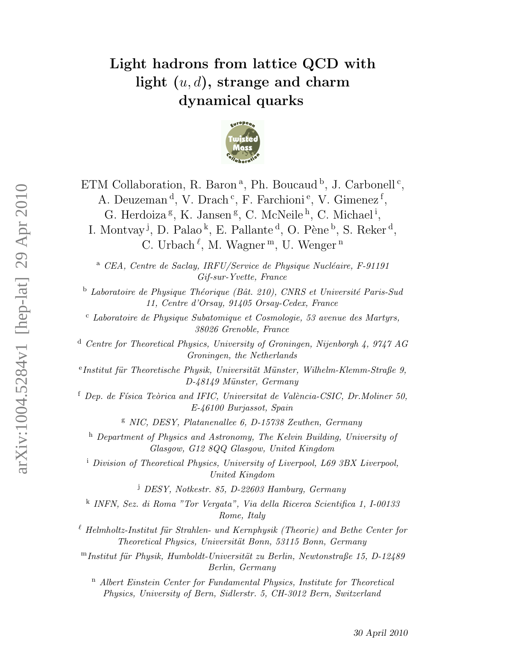# Light hadrons from lattice QCD with light  $(u, d)$ , strange and charm dynamical quarks



ETM Collaboration, R. Baron<sup>a</sup>, Ph. Boucaud<sup>b</sup>, J. Carbonell<sup>c</sup>, A. Deuzeman<sup>d</sup>, V. Drach<sup>c</sup>, F. Farchioni<sup>e</sup>, V. Gimenez<sup>f</sup>, G. Herdoiza<sup>g</sup>, K. Jansen<sup>g</sup>, C. McNeile<sup>h</sup>, C. Michael<sup>i</sup>, I. Montvay<sup>j</sup>, D. Palao<sup>k</sup>, E. Pallante<sup>d</sup>, O. Pène<sup>b</sup>, S. Reker<sup>d</sup>, C. Urbach<sup> $\ell$ </sup>, M. Wagner<sup>m</sup>, U. Wenger<sup>n</sup>

<sup>a</sup> CEA, Centre de Saclay, IRFU/Service de Physique Nucléaire, F-91191 Gif-sur-Yvette, France

 $b$  Laboratoire de Physique Théorique (Bât. 210), CNRS et Université Paris-Sud 11, Centre d'Orsay, 91405 Orsay-Cedex, France

<sup>c</sup> Laboratoire de Physique Subatomique et Cosmologie, 53 avenue des Martyrs, 38026 Grenoble, France

<sup>d</sup> Centre for Theoretical Physics, University of Groningen, Nijenborgh 4, 9747 AG Groningen, the Netherlands

eInstitut für Theoretische Physik, Universität Münster, Wilhelm-Klemm-Straße 9, D-48149 Münster, Germany

 $f$  Dep. de Física Teòrica and IFIC, Universitat de València-CSIC, Dr.Moliner 50, E-46100 Burjassot, Spain

<sup>g</sup> NIC, DESY, Platanenallee 6, D-15738 Zeuthen, Germany

<sup>h</sup> Department of Physics and Astronomy, The Kelvin Building, University of Glasgow, G12 8QQ Glasgow, United Kingdom

<sup>i</sup> Division of Theoretical Physics, University of Liverpool, L69 3BX Liverpool, United Kingdom

<sup>j</sup> DESY, Notkestr. 85, D-22603 Hamburg, Germany

k INFN, Sez. di Roma "Tor Vergata", Via della Ricerca Scientifica 1, I-00133 Rome, Italy

 $\ell$  Helmholtz-Institut für Strahlen- und Kernphysik (Theorie) and Bethe Center for Theoretical Physics, Universität Bonn, 53115 Bonn, Germany

 $<sup>m</sup>$ Institut für Physik, Humboldt-Universität zu Berlin, Newtonstraße 15, D-12489</sup> Berlin, Germany

<sup>n</sup> Albert Einstein Center for Fundamental Physics, Institute for Theoretical Physics, University of Bern, Sidlerstr. 5, CH-3012 Bern, Switzerland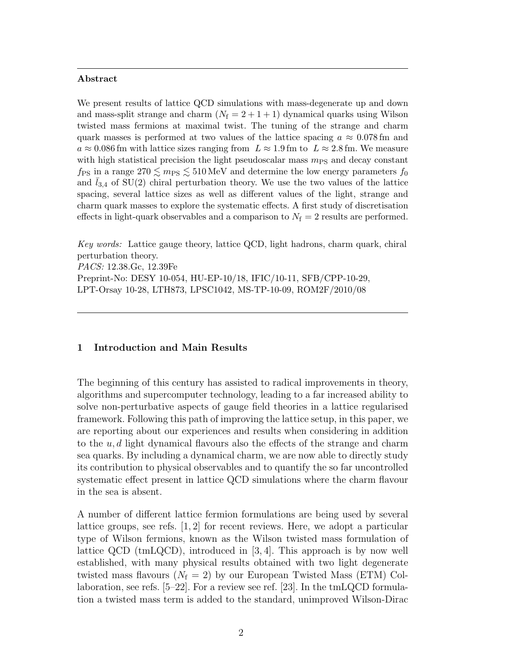#### Abstract

We present results of lattice QCD simulations with mass-degenerate up and down and mass-split strange and charm  $(N_f = 2 + 1 + 1)$  dynamical quarks using Wilson twisted mass fermions at maximal twist. The tuning of the strange and charm quark masses is performed at two values of the lattice spacing  $a \approx 0.078$  fm and  $a \approx 0.086$  fm with lattice sizes ranging from  $L \approx 1.9$  fm to  $L \approx 2.8$  fm. We measure with high statistical precision the light pseudoscalar mass  $m_{\text{PS}}$  and decay constant  $f_{\rm PS}$  in a range  $270 \lesssim m_{\rm PS} \lesssim 510 \,\text{MeV}$  and determine the low energy parameters  $f_0$ and  $l_{3,4}$  of SU(2) chiral perturbation theory. We use the two values of the lattice spacing, several lattice sizes as well as different values of the light, strange and charm quark masses to explore the systematic effects. A first study of discretisation effects in light-quark observables and a comparison to  $N_f = 2$  results are performed.

Key words: Lattice gauge theory, lattice QCD, light hadrons, charm quark, chiral perturbation theory. PACS: 12.38.Gc, 12.39Fe

Preprint-No: DESY 10-054, HU-EP-10/18, IFIC/10-11, SFB/CPP-10-29, LPT-Orsay 10-28, LTH873, LPSC1042, MS-TP-10-09, ROM2F/2010/08

# 1 Introduction and Main Results

The beginning of this century has assisted to radical improvements in theory, algorithms and supercomputer technology, leading to a far increased ability to solve non-perturbative aspects of gauge field theories in a lattice regularised framework. Following this path of improving the lattice setup, in this paper, we are reporting about our experiences and results when considering in addition to the  $u, d$  light dynamical flavours also the effects of the strange and charm sea quarks. By including a dynamical charm, we are now able to directly study its contribution to physical observables and to quantify the so far uncontrolled systematic effect present in lattice QCD simulations where the charm flavour in the sea is absent.

A number of different lattice fermion formulations are being used by several lattice groups, see refs. [1, 2] for recent reviews. Here, we adopt a particular type of Wilson fermions, known as the Wilson twisted mass formulation of lattice QCD (tmLQCD), introduced in  $[3, 4]$ . This approach is by now well established, with many physical results obtained with two light degenerate twisted mass flavours  $(N_f = 2)$  by our European Twisted Mass (ETM) Collaboration, see refs. [5–22]. For a review see ref. [23]. In the tmLQCD formulation a twisted mass term is added to the standard, unimproved Wilson-Dirac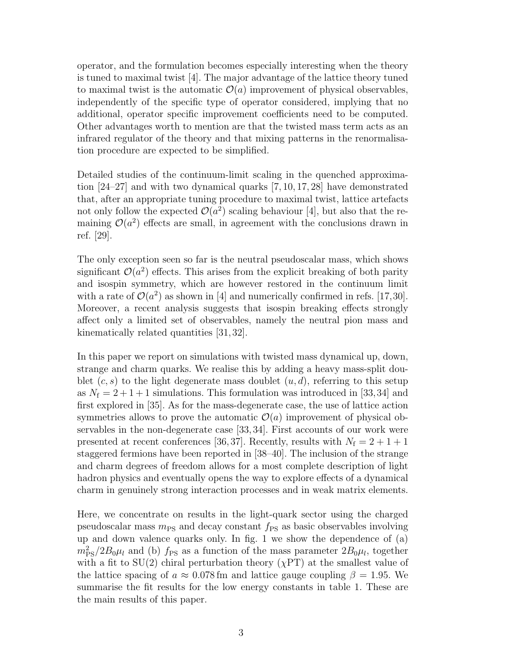operator, and the formulation becomes especially interesting when the theory is tuned to maximal twist [4]. The major advantage of the lattice theory tuned to maximal twist is the automatic  $\mathcal{O}(a)$  improvement of physical observables, independently of the specific type of operator considered, implying that no additional, operator specific improvement coefficients need to be computed. Other advantages worth to mention are that the twisted mass term acts as an infrared regulator of the theory and that mixing patterns in the renormalisation procedure are expected to be simplified.

Detailed studies of the continuum-limit scaling in the quenched approximation [24–27] and with two dynamical quarks [7, 10, 17, 28] have demonstrated that, after an appropriate tuning procedure to maximal twist, lattice artefacts not only follow the expected  $\mathcal{O}(a^2)$  scaling behaviour [4], but also that the remaining  $\mathcal{O}(a^2)$  effects are small, in agreement with the conclusions drawn in ref. [29].

The only exception seen so far is the neutral pseudoscalar mass, which shows significant  $\mathcal{O}(a^2)$  effects. This arises from the explicit breaking of both parity and isospin symmetry, which are however restored in the continuum limit with a rate of  $\mathcal{O}(a^2)$  as shown in [4] and numerically confirmed in refs. [17,30]. Moreover, a recent analysis suggests that isospin breaking effects strongly affect only a limited set of observables, namely the neutral pion mass and kinematically related quantities [31, 32].

In this paper we report on simulations with twisted mass dynamical up, down, strange and charm quarks. We realise this by adding a heavy mass-split doublet  $(c, s)$  to the light degenerate mass doublet  $(u, d)$ , referring to this setup as  $N_f = 2 + 1 + 1$  simulations. This formulation was introduced in [33,34] and first explored in [35]. As for the mass-degenerate case, the use of lattice action symmetries allows to prove the automatic  $\mathcal{O}(a)$  improvement of physical observables in the non-degenerate case [33, 34]. First accounts of our work were presented at recent conferences [36, 37]. Recently, results with  $N_f = 2 + 1 + 1$ staggered fermions have been reported in [38–40]. The inclusion of the strange and charm degrees of freedom allows for a most complete description of light hadron physics and eventually opens the way to explore effects of a dynamical charm in genuinely strong interaction processes and in weak matrix elements.

Here, we concentrate on results in the light-quark sector using the charged pseudoscalar mass  $m_{PS}$  and decay constant  $f_{PS}$  as basic observables involving up and down valence quarks only. In fig. 1 we show the dependence of (a)  $m_{\rm PS}^2/2B_0\mu_l$  and (b)  $f_{\rm PS}$  as a function of the mass parameter  $2B_0\mu_l$ , together with a fit to  $SU(2)$  chiral perturbation theory  $(\chi PT)$  at the smallest value of the lattice spacing of  $a \approx 0.078$  fm and lattice gauge coupling  $\beta = 1.95$ . We summarise the fit results for the low energy constants in table 1. These are the main results of this paper.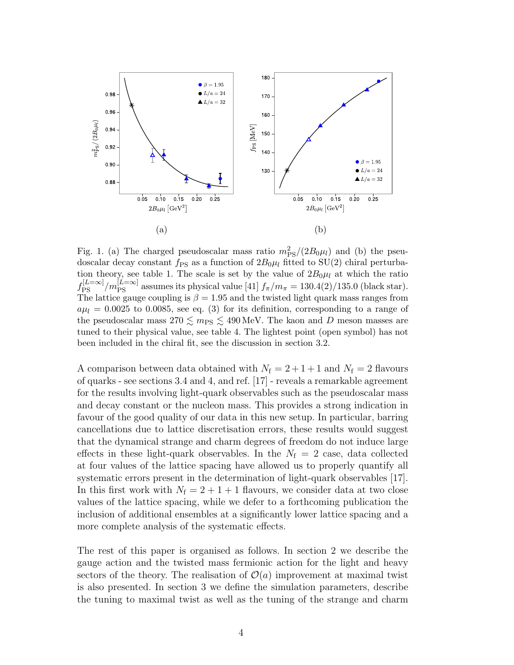

Fig. 1. (a) The charged pseudoscalar mass ratio  $m_{\rm PS}^2/(2B_0\mu_l)$  and (b) the pseudoscalar decay constant  $f_{PS}$  as a function of  $2B_0\mu_l$  fitted to SU(2) chiral perturbation theory, see table 1. The scale is set by the value of  $2B_0\mu_l$  at which the ratio  $f_{\rm PS}^{[L=\infty]}/m_{\rm PS}^{[L=\infty]}$  assumes its physical value [41]  $f_{\pi}/m_{\pi} = 130.4(2)/135.0$  (black star). The lattice gauge coupling is  $\beta = 1.95$  and the twisted light quark mass ranges from  $a\mu_l = 0.0025$  to 0.0085, see eq. (3) for its definition, corresponding to a range of the pseudoscalar mass  $270 \lesssim m_{PS} \lesssim 490 \,\text{MeV}$ . The kaon and D meson masses are tuned to their physical value, see table 4. The lightest point (open symbol) has not been included in the chiral fit, see the discussion in section 3.2.

A comparison between data obtained with  $N_f = 2 + 1 + 1$  and  $N_f = 2$  flavours of quarks - see sections 3.4 and 4, and ref. [17] - reveals a remarkable agreement for the results involving light-quark observables such as the pseudoscalar mass and decay constant or the nucleon mass. This provides a strong indication in favour of the good quality of our data in this new setup. In particular, barring cancellations due to lattice discretisation errors, these results would suggest that the dynamical strange and charm degrees of freedom do not induce large effects in these light-quark observables. In the  $N_f = 2$  case, data collected at four values of the lattice spacing have allowed us to properly quantify all systematic errors present in the determination of light-quark observables [17]. In this first work with  $N_f = 2 + 1 + 1$  flavours, we consider data at two close values of the lattice spacing, while we defer to a forthcoming publication the inclusion of additional ensembles at a significantly lower lattice spacing and a more complete analysis of the systematic effects.

The rest of this paper is organised as follows. In section 2 we describe the gauge action and the twisted mass fermionic action for the light and heavy sectors of the theory. The realisation of  $\mathcal{O}(a)$  improvement at maximal twist is also presented. In section 3 we define the simulation parameters, describe the tuning to maximal twist as well as the tuning of the strange and charm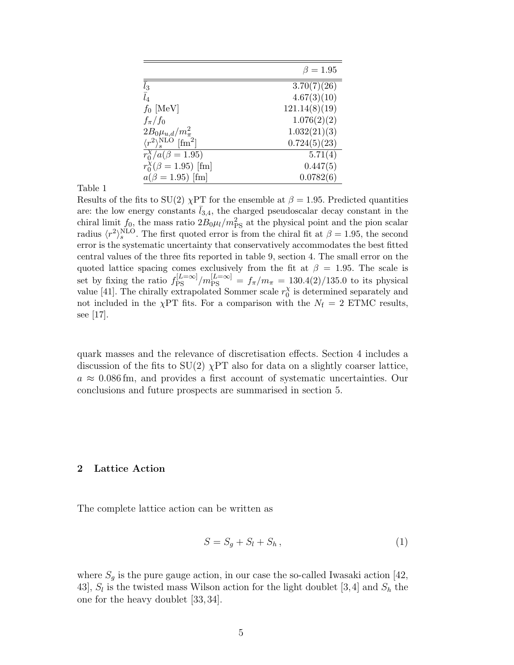|                                                     | $\beta=1.95$  |
|-----------------------------------------------------|---------------|
| $\bar{l}_3$                                         | 3.70(7)(26)   |
| $\bar l_4$                                          | 4.67(3)(10)   |
| $f_0$ [MeV]                                         | 121.14(8)(19) |
| $f_{\pi}/f_0$                                       | 1.076(2)(2)   |
| $2B_0\mu_{u,d}/m_{\pi}^2$                           | 1.032(21)(3)  |
| $\langle r^2\rangle_s^{\rm NLO}$ [fm <sup>2</sup> ] | 0.724(5)(23)  |
| $r_0^{\chi}/a(\beta = 1.95)$                        | 5.71(4)       |
| $r_0^{\chi}(\beta = 1.95)$ [fm]                     | 0.447(5)      |
| $a(\beta = 1.95)$ [fm]                              | 0.0782(6)     |

Results of the fits to SU(2)  $\chi$ PT for the ensemble at  $\beta = 1.95$ . Predicted quantities are: the low energy constants  $l_{3,4}$ , the charged pseudoscalar decay constant in the chiral limit  $f_0$ , the mass ratio  $2B_0\mu_l/m_{\rm PS}^2$  at the physical point and the pion scalar radius  $\langle r^2 \rangle_s^{\text{NLO}}$ . The first quoted error is from the chiral fit at  $\beta = 1.95$ , the second error is the systematic uncertainty that conservatively accommodates the best fitted central values of the three fits reported in table 9, section 4. The small error on the quoted lattice spacing comes exclusively from the fit at  $\beta = 1.95$ . The scale is set by fixing the ratio  $f_{\rm PS}^{[L=\infty]}/m_{\rm PS}^{[L=\infty]} = f_{\pi}/m_{\pi} = 130.4(2)/135.0$  to its physical value [41]. The chirally extrapolated Sommer scale  $r_0^{\chi}$  $\frac{\chi}{0}$  is determined separately and not included in the  $\chi$ PT fits. For a comparison with the  $N_f = 2$  ETMC results, see [17].

quark masses and the relevance of discretisation effects. Section 4 includes a discussion of the fits to  $SU(2)$   $\chi$ PT also for data on a slightly coarser lattice,  $a \approx 0.086$  fm, and provides a first account of systematic uncertainties. Our conclusions and future prospects are summarised in section 5.

## 2 Lattice Action

The complete lattice action can be written as

$$
S = S_g + S_l + S_h, \qquad (1)
$$

where  $S_g$  is the pure gauge action, in our case the so-called Iwasaki action [42, 43],  $S_l$  is the twisted mass Wilson action for the light doublet [3,4] and  $S_h$  the one for the heavy doublet [33, 34].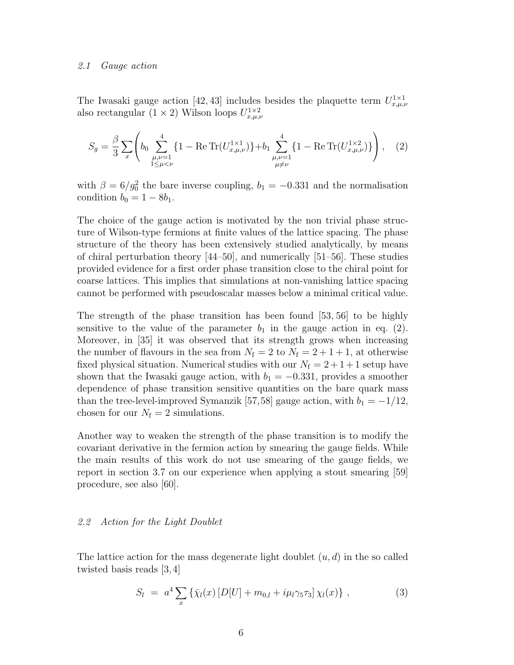#### 2.1 Gauge action

The Iwasaki gauge action [42, 43] includes besides the plaquette term  $U_{x,\mu,\nu}^{1\times1}$ also rectangular  $(1 \times 2)$  Wilson loops  $U_{x,\mu,\nu}^{1\times 2}$ 

$$
S_g = \frac{\beta}{3} \sum_{x} \left( b_0 \sum_{\substack{\mu,\nu=1\\1 \le \mu < \nu}}^4 \{ 1 - \text{Re Tr}(U_{x,\mu,\nu}^{1 \times 1}) \} + b_1 \sum_{\substack{\mu,\nu=1\\ \mu \ne \nu}}^4 \{ 1 - \text{Re Tr}(U_{x,\mu,\nu}^{1 \times 2}) \} \right), \quad (2)
$$

with  $\beta = 6/g_0^2$  the bare inverse coupling,  $b_1 = -0.331$  and the normalisation condition  $b_0 = 1 - 8b_1$ .

The choice of the gauge action is motivated by the non trivial phase structure of Wilson-type fermions at finite values of the lattice spacing. The phase structure of the theory has been extensively studied analytically, by means of chiral perturbation theory [44–50], and numerically [51–56]. These studies provided evidence for a first order phase transition close to the chiral point for coarse lattices. This implies that simulations at non-vanishing lattice spacing cannot be performed with pseudoscalar masses below a minimal critical value.

The strength of the phase transition has been found [53, 56] to be highly sensitive to the value of the parameter  $b_1$  in the gauge action in eq. (2). Moreover, in [35] it was observed that its strength grows when increasing the number of flavours in the sea from  $N_f = 2$  to  $N_f = 2 + 1 + 1$ , at otherwise fixed physical situation. Numerical studies with our  $N_f = 2 + 1 + 1$  setup have shown that the Iwasaki gauge action, with  $b_1 = -0.331$ , provides a smoother dependence of phase transition sensitive quantities on the bare quark mass than the tree-level-improved Symanzik [57,58] gauge action, with  $b_1 = -1/12$ , chosen for our  $N_f = 2$  simulations.

Another way to weaken the strength of the phase transition is to modify the covariant derivative in the fermion action by smearing the gauge fields. While the main results of this work do not use smearing of the gauge fields, we report in section 3.7 on our experience when applying a stout smearing [59] procedure, see also [60].

#### 2.2 Action for the Light Doublet

The lattice action for the mass degenerate light doublet  $(u, d)$  in the so called twisted basis reads [3, 4]

$$
S_l = a^4 \sum_x {\{\bar{\chi}_l(x) [D[U] + m_{0,l} + i\mu_l \gamma_5 \tau_3]} \chi_l(x) } , \qquad (3)
$$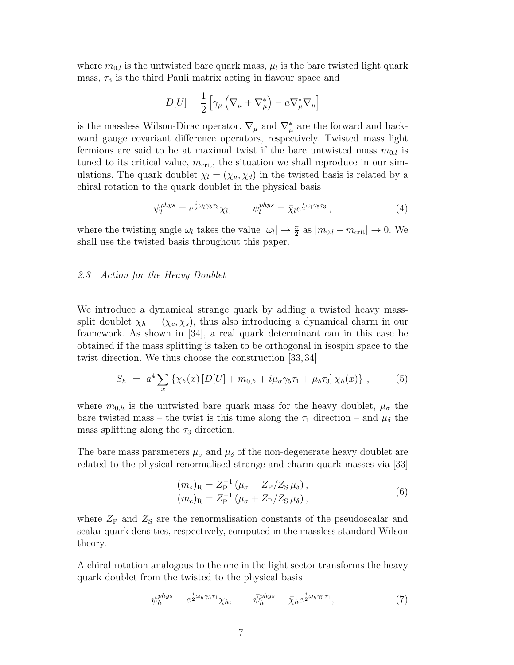where  $m_{0,l}$  is the untwisted bare quark mass,  $\mu_l$  is the bare twisted light quark mass,  $\tau_3$  is the third Pauli matrix acting in flavour space and

$$
D[U] = \frac{1}{2} \left[ \gamma_{\mu} \left( \nabla_{\mu} + \nabla_{\mu}^{*} \right) - a \nabla_{\mu}^{*} \nabla_{\mu} \right]
$$

is the massless Wilson-Dirac operator.  $\nabla_{\mu}$  and  $\nabla_{\mu}^{*}$  are the forward and backward gauge covariant difference operators, respectively. Twisted mass light fermions are said to be at maximal twist if the bare untwisted mass  $m_{0,l}$  is tuned to its critical value,  $m_{\text{crit}}$ , the situation we shall reproduce in our simulations. The quark doublet  $\chi_l = (\chi_u, \chi_d)$  in the twisted basis is related by a chiral rotation to the quark doublet in the physical basis

$$
\psi_l^{phys} = e^{\frac{i}{2}\omega_l \gamma_5 \tau_3} \chi_l, \qquad \bar{\psi}_l^{phys} = \bar{\chi}_l e^{\frac{i}{2}\omega_l \gamma_5 \tau_3}, \qquad (4)
$$

where the twisting angle  $\omega_l$  takes the value  $|\omega_l| \to \frac{\pi}{2}$  as  $|m_{0,l} - m_{\rm crit}| \to 0$ . We shall use the twisted basis throughout this paper.

# 2.3 Action for the Heavy Doublet

We introduce a dynamical strange quark by adding a twisted heavy masssplit doublet  $\chi_h = (\chi_c, \chi_s)$ , thus also introducing a dynamical charm in our framework. As shown in [34], a real quark determinant can in this case be obtained if the mass splitting is taken to be orthogonal in isospin space to the twist direction. We thus choose the construction [33, 34]

$$
S_h = a^4 \sum_x \{ \bar{\chi}_h(x) \left[ D[U] + m_{0,h} + i \mu_\sigma \gamma_5 \tau_1 + \mu_\delta \tau_3 \right] \chi_h(x) \}, \tag{5}
$$

where  $m_{0,h}$  is the untwisted bare quark mass for the heavy doublet,  $\mu_{\sigma}$  the bare twisted mass – the twist is this time along the  $\tau_1$  direction – and  $\mu_{\delta}$  the mass splitting along the  $\tau_3$  direction.

The bare mass parameters  $\mu_{\sigma}$  and  $\mu_{\delta}$  of the non-degenerate heavy doublet are related to the physical renormalised strange and charm quark masses via [33]

$$
(m_s)_R = Z_P^{-1} (\mu_\sigma - Z_P/Z_S \mu_\delta), (m_c)_R = Z_P^{-1} (\mu_\sigma + Z_P/Z_S \mu_\delta),
$$
 (6)

where  $Z_{\rm P}$  and  $Z_{\rm S}$  are the renormalisation constants of the pseudoscalar and scalar quark densities, respectively, computed in the massless standard Wilson theory.

A chiral rotation analogous to the one in the light sector transforms the heavy quark doublet from the twisted to the physical basis

$$
\psi_h^{phys} = e^{\frac{i}{2}\omega_h \gamma_5 \tau_1} \chi_h, \qquad \bar{\psi}_h^{phys} = \bar{\chi}_h e^{\frac{i}{2}\omega_h \gamma_5 \tau_1}, \tag{7}
$$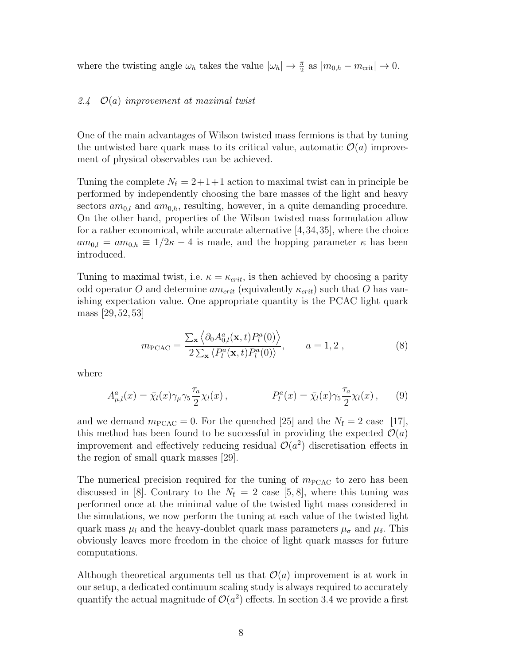where the twisting angle  $\omega_h$  takes the value  $|\omega_h| \to \frac{\pi}{2}$  as  $|m_{0,h} - m_{\rm crit}| \to 0$ .

# 2.4  $\mathcal{O}(a)$  improvement at maximal twist

One of the main advantages of Wilson twisted mass fermions is that by tuning the untwisted bare quark mass to its critical value, automatic  $\mathcal{O}(a)$  improvement of physical observables can be achieved.

Tuning the complete  $N_f = 2+1+1$  action to maximal twist can in principle be performed by independently choosing the bare masses of the light and heavy sectors  $am_{0,l}$  and  $am_{0,h}$ , resulting, however, in a quite demanding procedure. On the other hand, properties of the Wilson twisted mass formulation allow for a rather economical, while accurate alternative [4,34,35], where the choice  $am_{0,l} = am_{0,h} \equiv 1/2\kappa - 4$  is made, and the hopping parameter  $\kappa$  has been introduced.

Tuning to maximal twist, i.e.  $\kappa = \kappa_{crit}$ , is then achieved by choosing a parity odd operator O and determine  $am_{crit}$  (equivalently  $\kappa_{crit}$ ) such that O has vanishing expectation value. One appropriate quantity is the PCAC light quark mass [29, 52, 53]

$$
m_{\text{PCAC}} = \frac{\sum_{\mathbf{x}} \left\langle \partial_0 A_{0,l}^a(\mathbf{x}, t) P_l^a(0) \right\rangle}{2 \sum_{\mathbf{x}} \left\langle P_l^a(\mathbf{x}, t) P_l^a(0) \right\rangle}, \qquad a = 1, 2 ,
$$
 (8)

where

$$
A_{\mu,l}^a(x) = \bar{\chi}_l(x)\gamma_\mu\gamma_5 \frac{\tau_a}{2}\chi_l(x)\,,\qquad P_l^a(x) = \bar{\chi}_l(x)\gamma_5 \frac{\tau_a}{2}\chi_l(x)\,,\qquad(9)
$$

and we demand  $m_{\text{PCAC}} = 0$ . For the quenched [25] and the  $N_{\text{f}} = 2$  case [17], this method has been found to be successful in providing the expected  $\mathcal{O}(a)$ improvement and effectively reducing residual  $\mathcal{O}(a^2)$  discretisation effects in the region of small quark masses [29].

The numerical precision required for the tuning of  $m_{\text{PCAC}}$  to zero has been discussed in [8]. Contrary to the  $N_f = 2$  case [5, 8], where this tuning was performed once at the minimal value of the twisted light mass considered in the simulations, we now perform the tuning at each value of the twisted light quark mass  $\mu_l$  and the heavy-doublet quark mass parameters  $\mu_{\sigma}$  and  $\mu_{\delta}$ . This obviously leaves more freedom in the choice of light quark masses for future computations.

Although theoretical arguments tell us that  $\mathcal{O}(a)$  improvement is at work in our setup, a dedicated continuum scaling study is always required to accurately quantify the actual magnitude of  $\mathcal{O}(a^2)$  effects. In section 3.4 we provide a first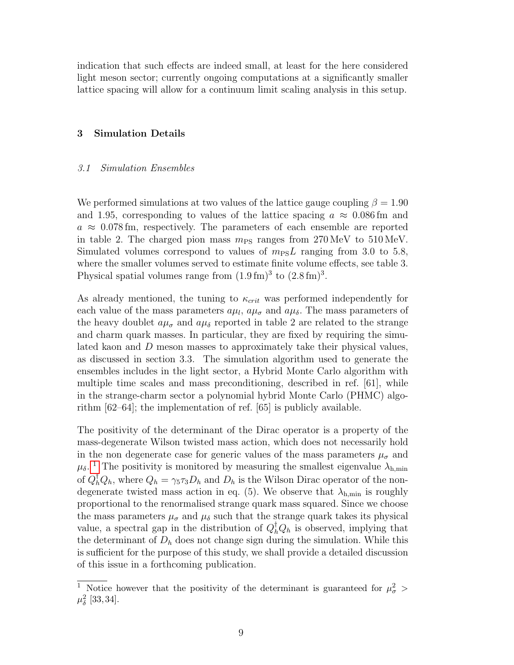indication that such effects are indeed small, at least for the here considered light meson sector; currently ongoing computations at a significantly smaller lattice spacing will allow for a continuum limit scaling analysis in this setup.

# 3 Simulation Details

#### 3.1 Simulation Ensembles

We performed simulations at two values of the lattice gauge coupling  $\beta = 1.90$ and 1.95, corresponding to values of the lattice spacing  $a \approx 0.086$  fm and  $a \approx 0.078$  fm, respectively. The parameters of each ensemble are reported in table 2. The charged pion mass  $m_{PS}$  ranges from 270 MeV to 510 MeV. Simulated volumes correspond to values of  $m_{PS}L$  ranging from 3.0 to 5.8, where the smaller volumes served to estimate finite volume effects, see table 3. Physical spatial volumes range from  $(1.9 \text{ fm})^3$  to  $(2.8 \text{ fm})^3$ .

As already mentioned, the tuning to  $\kappa_{crit}$  was performed independently for each value of the mass parameters  $a\mu_l$ ,  $a\mu_\sigma$  and  $a\mu_\delta$ . The mass parameters of the heavy doublet  $a\mu_{\sigma}$  and  $a\mu_{\delta}$  reported in table 2 are related to the strange and charm quark masses. In particular, they are fixed by requiring the simulated kaon and D meson masses to approximately take their physical values, as discussed in section 3.3. The simulation algorithm used to generate the ensembles includes in the light sector, a Hybrid Monte Carlo algorithm with multiple time scales and mass preconditioning, described in ref. [61], while in the strange-charm sector a polynomial hybrid Monte Carlo (PHMC) algorithm [62–64]; the implementation of ref. [65] is publicly available.

The positivity of the determinant of the Dirac operator is a property of the mass-degenerate Wilson twisted mass action, which does not necessarily hold in the non degenerate case for generic values of the mass parameters  $\mu_{\sigma}$  and  $\mu_{\delta}$ . <sup>[1](#page-8-0)</sup> The positivity is monitored by measuring the smallest eigenvalue  $\lambda_{h,min}$ of  $Q_h^{\dagger} Q_h$ , where  $Q_h = \gamma_5 \tau_3 D_h$  and  $D_h$  is the Wilson Dirac operator of the nondegenerate twisted mass action in eq. (5). We observe that  $\lambda_{h,\min}$  is roughly proportional to the renormalised strange quark mass squared. Since we choose the mass parameters  $\mu_{\sigma}$  and  $\mu_{\delta}$  such that the strange quark takes its physical value, a spectral gap in the distribution of  $Q_h^{\dagger} Q_h$  is observed, implying that the determinant of  $D<sub>h</sub>$  does not change sign during the simulation. While this is sufficient for the purpose of this study, we shall provide a detailed discussion of this issue in a forthcoming publication.

<span id="page-8-0"></span><sup>&</sup>lt;sup>1</sup> Notice however that the positivity of the determinant is guaranteed for  $\mu_{\sigma}^2$  >  $\mu^2_{\delta}$  [33, 34].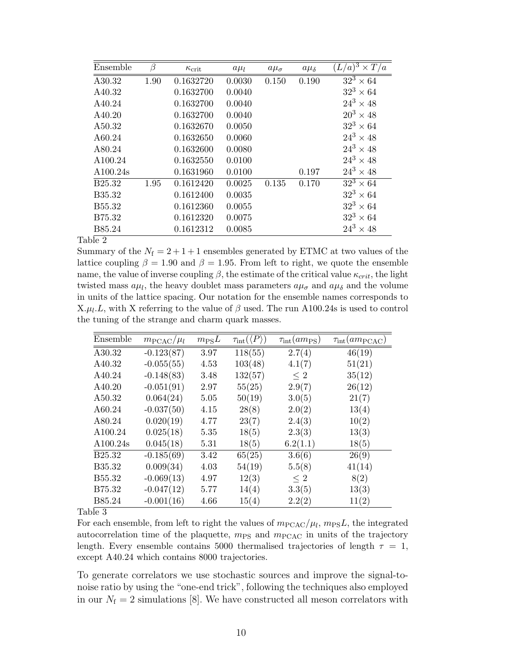| Ensemble           | B    | $\kappa_{\rm crit}$ | $a\mu_l$ | $a\mu_{\sigma}$ | $a\mu_{\delta}$ | $\overline{(L/a)^3 \times T/a}$ |
|--------------------|------|---------------------|----------|-----------------|-----------------|---------------------------------|
| A30.32             | 1.90 | 0.1632720           | 0.0030   | 0.150           | 0.190           | $\overline{32^3 \times 64}$     |
| A40.32             |      | 0.1632700           | 0.0040   |                 |                 | $32^3 \times 64$                |
| A40.24             |      | 0.1632700           | 0.0040   |                 |                 | $24^3 \times 48$                |
| A40.20             |      | 0.1632700           | 0.0040   |                 |                 | $20^3 \times 48$                |
| A50.32             |      | 0.1632670           | 0.0050   |                 |                 | $32^3 \times 64$                |
| A60.24             |      | 0.1632650           | 0.0060   |                 |                 | $24^3 \times 48$                |
| A80.24             |      | 0.1632600           | 0.0080   |                 |                 | $24^3 \times 48$                |
| A100.24            |      | 0.1632550           | 0.0100   |                 |                 | $24^3 \times 48$                |
| A100.24s           |      | 0.1631960           | 0.0100   |                 | 0.197           | $24^3 \times 48$                |
| B <sub>25.32</sub> | 1.95 | 0.1612420           | 0.0025   | 0.135           | 0.170           | $32^3 \times 64$                |
| B35.32             |      | 0.1612400           | 0.0035   |                 |                 | $32^3 \times 64$                |
| B <sub>55.32</sub> |      | 0.1612360           | 0.0055   |                 |                 | $32^3 \times 64$                |
| B75.32             |      | 0.1612320           | 0.0075   |                 |                 | $32^3 \times 64$                |
| B85.24             |      | 0.1612312           | 0.0085   |                 |                 | $24^3 \times 48$                |

Summary of the  $N_f = 2 + 1 + 1$  ensembles generated by ETMC at two values of the lattice coupling  $\beta = 1.90$  and  $\beta = 1.95$ . From left to right, we quote the ensemble name, the value of inverse coupling  $\beta$ , the estimate of the critical value  $\kappa_{crit}$ , the light twisted mass  $a\mu_l$ , the heavy doublet mass parameters  $a\mu_\sigma$  and  $a\mu_\delta$  and the volume in units of the lattice spacing. Our notation for the ensemble names corresponds to  $X.\mu_l.L$ , with X referring to the value of  $\beta$  used. The run A100.24s is used to control the tuning of the strange and charm quark masses.

| Ensemble           | $m_{\text{PCAC}}/\mu_l$ | $m_{\rm PS}L$ | $\tau_{\rm int}(\langle P \rangle)$ | $\tau_{\rm int}(am_{\rm PS})$ | $\tau_{\rm int}(am_{\rm PCAC})$ |
|--------------------|-------------------------|---------------|-------------------------------------|-------------------------------|---------------------------------|
| A30.32             | $-0.123(87)$            | 3.97          | 118(55)                             | 2.7(4)                        | 46(19)                          |
| A40.32             | $-0.055(55)$            | 4.53          | 103(48)                             | 4.1(7)                        | 51(21)                          |
| A40.24             | $-0.148(83)$            | 3.48          | 132(57)                             | $\leq 2$                      | 35(12)                          |
| A40.20             | $-0.051(91)$            | 2.97          | 55(25)                              | 2.9(7)                        | 26(12)                          |
| A50.32             | 0.064(24)               | 5.05          | 50(19)                              | 3.0(5)                        | 21(7)                           |
| A60.24             | $-0.037(50)$            | 4.15          | 28(8)                               | 2.0(2)                        | 13(4)                           |
| A80.24             | 0.020(19)               | 4.77          | 23(7)                               | 2.4(3)                        | 10(2)                           |
| A100.24            | 0.025(18)               | 5.35          | 18(5)                               | 2.3(3)                        | 13(3)                           |
| A100.24s           | 0.045(18)               | 5.31          | 18(5)                               | 6.2(1.1)                      | 18(5)                           |
| B <sub>25.32</sub> | $-0.185(69)$            | 3.42          | 65(25)                              | 3.6(6)                        | 26(9)                           |
| B35.32             | 0.009(34)               | 4.03          | 54(19)                              | 5.5(8)                        | 41(14)                          |
| B55.32             | $-0.069(13)$            | 4.97          | 12(3)                               | $\leq 2$                      | 8(2)                            |
| B75.32             | $-0.047(12)$            | 5.77          | 14(4)                               | 3.3(5)                        | 13(3)                           |
| B85.24             | $-0.001(16)$            | 4.66          | 15(4)                               | 2.2(2)                        | 11(2)                           |

Table 3

For each ensemble, from left to right the values of  $m_{\text{PCAC}}/\mu_l$ ,  $m_{\text{PS}}L$ , the integrated autocorrelation time of the plaquette,  $m_{PS}$  and  $m_{PCAC}$  in units of the trajectory length. Every ensemble contains 5000 thermalised trajectories of length  $\tau = 1$ , except A40.24 which contains 8000 trajectories.

To generate correlators we use stochastic sources and improve the signal-tonoise ratio by using the "one-end trick", following the techniques also employed in our  $N_f = 2$  simulations [8]. We have constructed all meson correlators with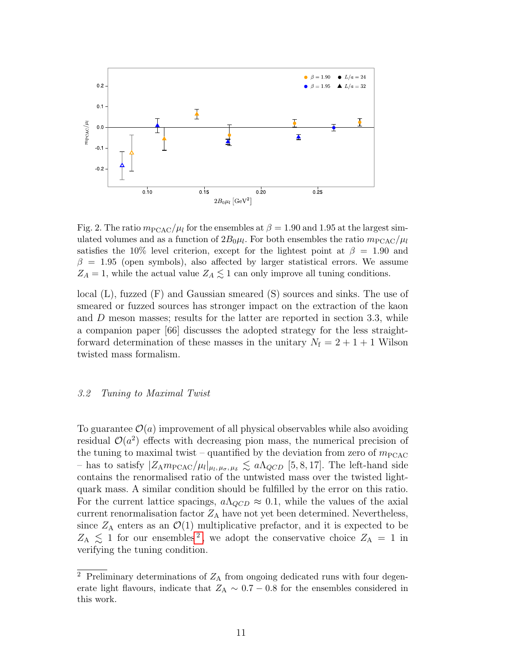

Fig. 2. The ratio  $m_{\text{PCAC}}/\mu_l$  for the ensembles at  $\beta = 1.90$  and 1.95 at the largest simulated volumes and as a function of  $2B_0\mu_l$ . For both ensembles the ratio  $m_\mathrm{PCAC}/\mu_l$ satisfies the 10% level criterion, except for the lightest point at  $\beta = 1.90$  and  $\beta = 1.95$  (open symbols), also affected by larger statistical errors. We assume  $Z_A = 1$ , while the actual value  $Z_A \lesssim 1$  can only improve all tuning conditions.

local (L), fuzzed (F) and Gaussian smeared (S) sources and sinks. The use of smeared or fuzzed sources has stronger impact on the extraction of the kaon and D meson masses; results for the latter are reported in section 3.3, while a companion paper [66] discusses the adopted strategy for the less straightforward determination of these masses in the unitary  $N_f = 2 + 1 + 1$  Wilson twisted mass formalism.

#### 3.2 Tuning to Maximal Twist

To guarantee  $\mathcal{O}(a)$  improvement of all physical observables while also avoiding residual  $\mathcal{O}(a^2)$  effects with decreasing pion mass, the numerical precision of the tuning to maximal twist – quantified by the deviation from zero of  $m_{\text{PCAC}}$ - has to satisfy  $|Z_{\rm A}m_{\rm PCAC}/\mu_l|_{\mu_l,\mu_{\sigma},\mu_{\delta}} \lesssim a\Lambda_{QCD}$  [5, 8, 17]. The left-hand side contains the renormalised ratio of the untwisted mass over the twisted lightquark mass. A similar condition should be fulfilled by the error on this ratio. For the current lattice spacings,  $a\Lambda_{QCD} \approx 0.1$ , while the values of the axial current renormalisation factor  $Z_A$  have not yet been determined. Nevertheless, since  $Z_A$  enters as an  $\mathcal{O}(1)$  multiplicative prefactor, and it is expected to be  $Z_{\rm A} \leq 1$  for our ensembles<sup>[2](#page-10-0)</sup>, we adopt the conservative choice  $Z_{\rm A} = 1$  in verifying the tuning condition.

<span id="page-10-0"></span> $\overline{2}$  Preliminary determinations of  $Z_A$  from ongoing dedicated runs with four degenerate light flavours, indicate that  $Z_A \sim 0.7 - 0.8$  for the ensembles considered in this work.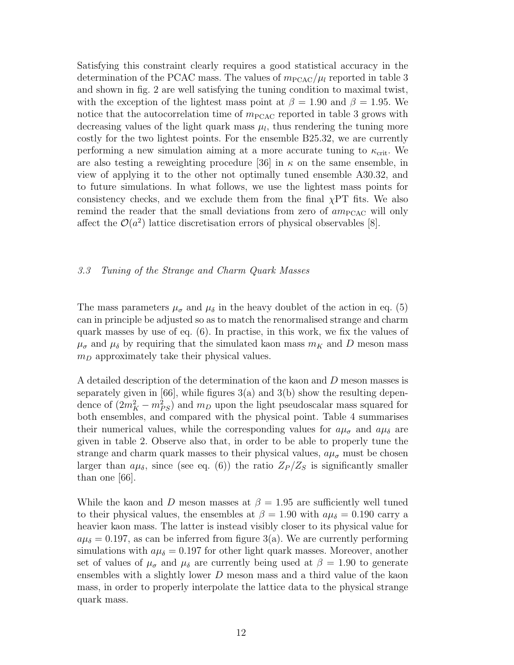Satisfying this constraint clearly requires a good statistical accuracy in the determination of the PCAC mass. The values of  $m_{\text{PCAC}}/\mu_l$  reported in table 3 and shown in fig. 2 are well satisfying the tuning condition to maximal twist, with the exception of the lightest mass point at  $\beta = 1.90$  and  $\beta = 1.95$ . We notice that the autocorrelation time of  $m_{\text{PCAC}}$  reported in table 3 grows with decreasing values of the light quark mass  $\mu_l$ , thus rendering the tuning more costly for the two lightest points. For the ensemble B25.32, we are currently performing a new simulation aiming at a more accurate tuning to  $\kappa_{\rm crit}$ . We are also testing a reweighting procedure [36] in  $\kappa$  on the same ensemble, in view of applying it to the other not optimally tuned ensemble A30.32, and to future simulations. In what follows, we use the lightest mass points for consistency checks, and we exclude them from the final  $\chi PT$  fits. We also remind the reader that the small deviations from zero of  $am<sub>PCAC</sub>$  will only affect the  $\mathcal{O}(a^2)$  lattice discretisation errors of physical observables [8].

# 3.3 Tuning of the Strange and Charm Quark Masses

The mass parameters  $\mu_{\sigma}$  and  $\mu_{\delta}$  in the heavy doublet of the action in eq. (5) can in principle be adjusted so as to match the renormalised strange and charm quark masses by use of eq. (6). In practise, in this work, we fix the values of  $\mu_{\sigma}$  and  $\mu_{\delta}$  by requiring that the simulated kaon mass  $m_K$  and D meson mass  $m_D$  approximately take their physical values.

A detailed description of the determination of the kaon and D meson masses is separately given in [66], while figures  $3(a)$  and  $3(b)$  show the resulting dependence of  $(2m_K^2 - m_{PS}^2)$  and  $m_D$  upon the light pseudoscalar mass squared for both ensembles, and compared with the physical point. Table 4 summarises their numerical values, while the corresponding values for  $a\mu_{\sigma}$  and  $a\mu_{\delta}$  are given in table 2. Observe also that, in order to be able to properly tune the strange and charm quark masses to their physical values,  $a\mu_{\sigma}$  must be chosen larger than  $a\mu_{\delta}$ , since (see eq. (6)) the ratio  $Z_P/Z_S$  is significantly smaller than one [66].

While the kaon and D meson masses at  $\beta = 1.95$  are sufficiently well tuned to their physical values, the ensembles at  $\beta = 1.90$  with  $a\mu_{\delta} = 0.190$  carry a heavier kaon mass. The latter is instead visibly closer to its physical value for  $a\mu_{\delta} = 0.197$ , as can be inferred from figure 3(a). We are currently performing simulations with  $a\mu_{\delta} = 0.197$  for other light quark masses. Moreover, another set of values of  $\mu_{\sigma}$  and  $\mu_{\delta}$  are currently being used at  $\beta = 1.90$  to generate ensembles with a slightly lower D meson mass and a third value of the kaon mass, in order to properly interpolate the lattice data to the physical strange quark mass.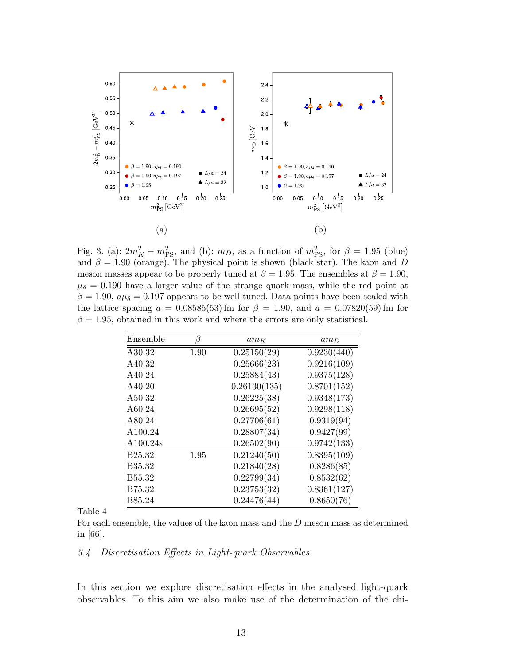

Fig. 3. (a):  $2m_K^2 - m_{\text{PS}}^2$ , and (b):  $m_D$ , as a function of  $m_{\text{PS}}^2$ , for  $\beta = 1.95$  (blue) and  $\beta = 1.90$  (orange). The physical point is shown (black star). The kaon and D meson masses appear to be properly tuned at  $\beta = 1.95$ . The ensembles at  $\beta = 1.90$ ,  $\mu_{\delta} = 0.190$  have a larger value of the strange quark mass, while the red point at  $\beta = 1.90$ ,  $a\mu_{\delta} = 0.197$  appears to be well tuned. Data points have been scaled with the lattice spacing  $a = 0.08585(53)$  fm for  $\beta = 1.90$ , and  $a = 0.07820(59)$  fm for  $\beta = 1.95$ , obtained in this work and where the errors are only statistical.

| Ensemble           | ß    | $am_K$       | $am_D$      |
|--------------------|------|--------------|-------------|
| A30.32             | 1.90 | 0.25150(29)  | 0.9230(440) |
| A40.32             |      | 0.25666(23)  | 0.9216(109) |
| A40.24             |      | 0.25884(43)  | 0.9375(128) |
| A40.20             |      | 0.26130(135) | 0.8701(152) |
| A50.32             |      | 0.26225(38)  | 0.9348(173) |
| A60.24             |      | 0.26695(52)  | 0.9298(118) |
| A80.24             |      | 0.27706(61)  | 0.9319(94)  |
| A100.24            |      | 0.28807(34)  | 0.9427(99)  |
| A100.24s           |      | 0.26502(90)  | 0.9742(133) |
| B <sub>25.32</sub> | 1.95 | 0.21240(50)  | 0.8395(109) |
| B35.32             |      | 0.21840(28)  | 0.8286(85)  |
| B <sub>55.32</sub> |      | 0.22799(34)  | 0.8532(62)  |
| B75.32             |      | 0.23753(32)  | 0.8361(127) |
| B85.24             |      | 0.24476(44)  | 0.8650(76)  |

Table 4

For each ensemble, the values of the kaon mass and the D meson mass as determined in [66].

#### 3.4 Discretisation Effects in Light-quark Observables

In this section we explore discretisation effects in the analysed light-quark observables. To this aim we also make use of the determination of the chi-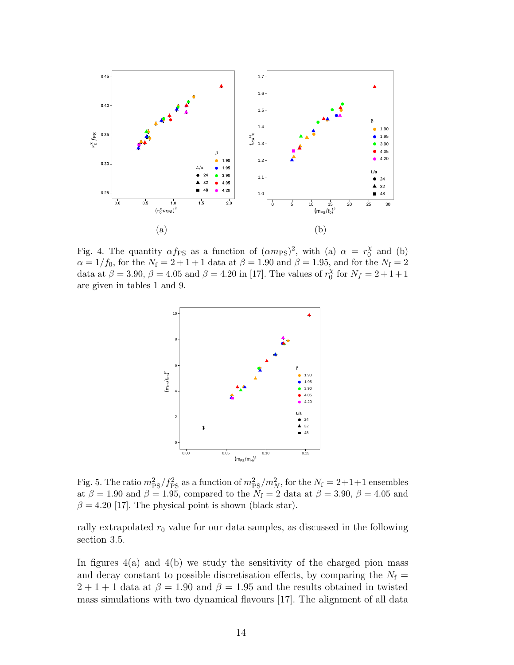

Fig. 4. The quantity  $\alpha f_{\rm PS}$  as a function of  $(\alpha m_{\rm PS})^2$ , with (a)  $\alpha = r_0^{\chi}$  $_{0}^{\chi}$  and (b)  $\alpha = 1/f_0$ , for the  $N_f = 2 + 1 + 1$  data at  $\beta = 1.90$  and  $\beta = 1.95$ , and for the  $N_f = 2$ data at  $\beta = 3.90, \beta = 4.05$  and  $\beta = 4.20$  in [17]. The values of  $r_0^{\chi}$  $_{0}^{\chi}$  for  $N_f = 2 + 1 + 1$ are given in tables 1 and 9.



Fig. 5. The ratio  $m_{\rm PS}^2/f_{\rm PS}^2$  as a function of  $m_{\rm PS}^2/m_N^2$ , for the  $N_{\rm f} = 2+1+1$  ensembles at  $\beta = 1.90$  and  $\beta = 1.95$ , compared to the  $N_f = 2$  data at  $\beta = 3.90$ ,  $\beta = 4.05$  and  $\beta = 4.20$  [17]. The physical point is shown (black star).

rally extrapolated  $r_0$  value for our data samples, as discussed in the following section 3.5.

In figures  $4(a)$  and  $4(b)$  we study the sensitivity of the charged pion mass and decay constant to possible discretisation effects, by comparing the  $N_f =$  $2+1+1$  data at  $\beta = 1.90$  and  $\beta = 1.95$  and the results obtained in twisted mass simulations with two dynamical flavours [17]. The alignment of all data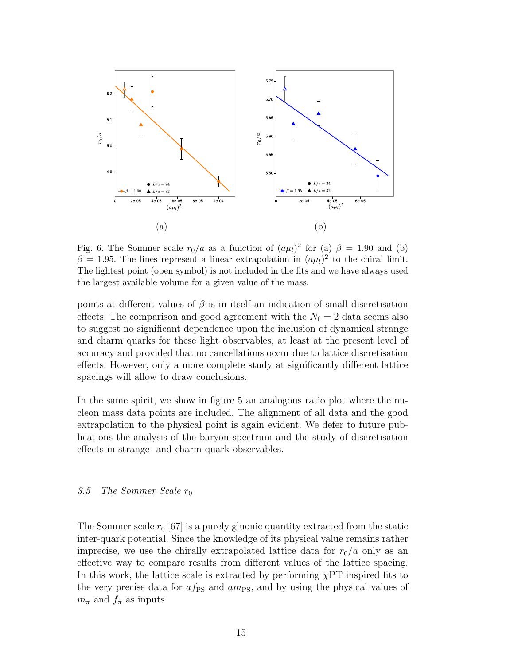![](_page_14_Figure_0.jpeg)

Fig. 6. The Sommer scale  $r_0/a$  as a function of  $(a\mu_l)^2$  for (a)  $\beta = 1.90$  and (b)  $\beta = 1.95$ . The lines represent a linear extrapolation in  $(a\mu_l)^2$  to the chiral limit. The lightest point (open symbol) is not included in the fits and we have always used the largest available volume for a given value of the mass.

points at different values of  $\beta$  is in itself an indication of small discretisation effects. The comparison and good agreement with the  $N_f = 2$  data seems also to suggest no significant dependence upon the inclusion of dynamical strange and charm quarks for these light observables, at least at the present level of accuracy and provided that no cancellations occur due to lattice discretisation effects. However, only a more complete study at significantly different lattice spacings will allow to draw conclusions.

In the same spirit, we show in figure 5 an analogous ratio plot where the nucleon mass data points are included. The alignment of all data and the good extrapolation to the physical point is again evident. We defer to future publications the analysis of the baryon spectrum and the study of discretisation effects in strange- and charm-quark observables.

# 3.5 The Sommer Scale  $r_0$

The Sommer scale  $r_0$  [67] is a purely gluonic quantity extracted from the static inter-quark potential. Since the knowledge of its physical value remains rather imprecise, we use the chirally extrapolated lattice data for  $r_0/a$  only as an effective way to compare results from different values of the lattice spacing. In this work, the lattice scale is extracted by performing  $\chi PT$  inspired fits to the very precise data for  $af_{PS}$  and  $am_{PS}$ , and by using the physical values of  $m_{\pi}$  and  $f_{\pi}$  as inputs.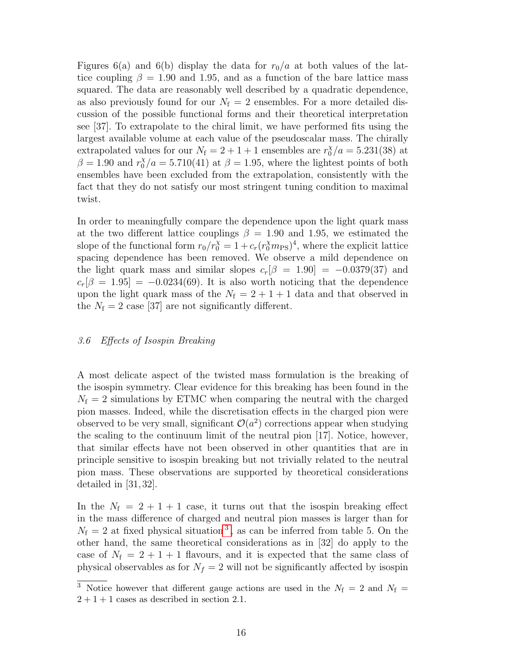Figures 6(a) and 6(b) display the data for  $r_0/a$  at both values of the lattice coupling  $\beta = 1.90$  and 1.95, and as a function of the bare lattice mass squared. The data are reasonably well described by a quadratic dependence, as also previously found for our  $N_f = 2$  ensembles. For a more detailed discussion of the possible functional forms and their theoretical interpretation see [37]. To extrapolate to the chiral limit, we have performed fits using the largest available volume at each value of the pseudoscalar mass. The chirally extrapolated values for our  $N_f = 2 + 1 + 1$  ensembles are  $r_0^{\chi}/a = 5.231(38)$  at  $\beta = 1.90$  and  $r_0^{\chi}/a = 5.710(41)$  at  $\beta = 1.95$ , where the lightest points of both ensembles have been excluded from the extrapolation, consistently with the fact that they do not satisfy our most stringent tuning condition to maximal twist.

In order to meaningfully compare the dependence upon the light quark mass at the two different lattice couplings  $\beta = 1.90$  and 1.95, we estimated the slope of the functional form  $r_0/r_0^{\chi} = 1 + c_r (r_0^{\chi} m_{\text{PS}})^4$ , where the explicit lattice spacing dependence has been removed. We observe a mild dependence on the light quark mass and similar slopes  $c_r[\beta = 1.90] = -0.0379(37)$  and  $c_r[\beta = 1.95] = -0.0234(69)$ . It is also worth noticing that the dependence upon the light quark mass of the  $N_f = 2 + 1 + 1$  data and that observed in the  $N_f = 2$  case [37] are not significantly different.

# 3.6 Effects of Isospin Breaking

A most delicate aspect of the twisted mass formulation is the breaking of the isospin symmetry. Clear evidence for this breaking has been found in the  $N_f = 2$  simulations by ETMC when comparing the neutral with the charged pion masses. Indeed, while the discretisation effects in the charged pion were observed to be very small, significant  $\mathcal{O}(a^2)$  corrections appear when studying the scaling to the continuum limit of the neutral pion [17]. Notice, however, that similar effects have not been observed in other quantities that are in principle sensitive to isospin breaking but not trivially related to the neutral pion mass. These observations are supported by theoretical considerations detailed in [31, 32].

In the  $N_f = 2 + 1 + 1$  case, it turns out that the isospin breaking effect in the mass difference of charged and neutral pion masses is larger than for  $N_f = 2$  at fixed physical situation<sup>[3](#page-15-0)</sup>, as can be inferred from table 5. On the other hand, the same theoretical considerations as in [32] do apply to the case of  $N_f = 2 + 1 + 1$  flavours, and it is expected that the same class of physical observables as for  $N_f = 2$  will not be significantly affected by isospin

<span id="page-15-0"></span><sup>&</sup>lt;sup>3</sup> Notice however that different gauge actions are used in the  $N_f = 2$  and  $N_f =$  $2 + 1 + 1$  cases as described in section 2.1.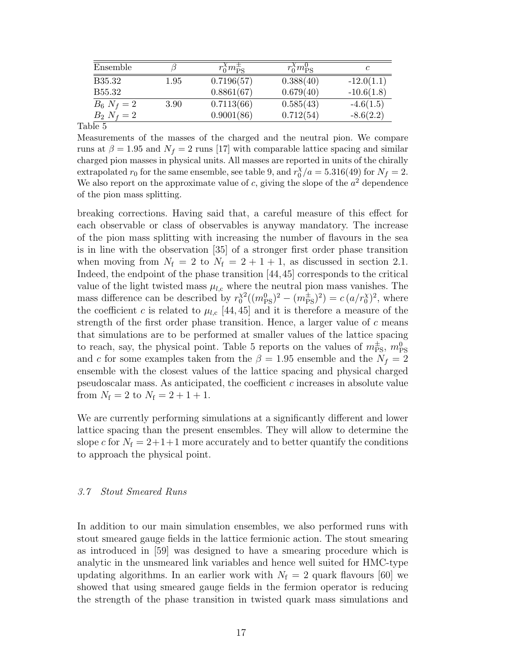| Ensemble           |          | $r_0^{\chi}m_{\rm PS}^{\pm}$ | $r_0^{\chi}m_{\rm PS}^0$ |              |
|--------------------|----------|------------------------------|--------------------------|--------------|
| <b>B35.32</b>      | $1.95\,$ | 0.7196(57)                   | 0.388(40)                | $-12.0(1.1)$ |
| B <sub>55.32</sub> |          | 0.8861(67)                   | 0.679(40)                | $-10.6(1.8)$ |
| $B_6 N_f = 2$      | 3.90     | 0.7113(66)                   | 0.585(43)                | $-4.6(1.5)$  |
| $B_2 N_f = 2$      |          | 0.9001(86)                   | 0.712(54)                | $-8.6(2.2)$  |
|                    |          |                              |                          |              |

Measurements of the masses of the charged and the neutral pion. We compare runs at  $\beta = 1.95$  and  $N_f = 2$  runs [17] with comparable lattice spacing and similar charged pion masses in physical units. All masses are reported in units of the chirally extrapolated  $r_0$  for the same ensemble, see table 9, and  $r_0^{\chi}$  $\binom{X}{0}$  /a = 5.316(49) for  $N_f = 2$ . We also report on the approximate value of c, giving the slope of the  $a^2$  dependence of the pion mass splitting.

breaking corrections. Having said that, a careful measure of this effect for each observable or class of observables is anyway mandatory. The increase of the pion mass splitting with increasing the number of flavours in the sea is in line with the observation [35] of a stronger first order phase transition when moving from  $N_f = 2$  to  $N_f = 2 + 1 + 1$ , as discussed in section 2.1. Indeed, the endpoint of the phase transition [44,45] corresponds to the critical value of the light twisted mass  $\mu_{l,c}$  where the neutral pion mass vanishes. The mass difference can be described by  $r_0^{\chi^2}$  $\chi^2((m_{\rm PS}^0)^2 - (m_{\rm PS}^{\pm})^2) = c (a/r_0^{\chi})^2$ , where the coefficient c is related to  $\mu_{l,c}$  [44, 45] and it is therefore a measure of the strength of the first order phase transition. Hence, a larger value of  $c$  means that simulations are to be performed at smaller values of the lattice spacing to reach, say, the physical point. Table 5 reports on the values of  $m_{\rm PS}^{\pm}$ ,  $m_{\rm PS}^0$ and c for some examples taken from the  $\beta = 1.95$  ensemble and the  $N_f = 2$ ensemble with the closest values of the lattice spacing and physical charged pseudoscalar mass. As anticipated, the coefficient c increases in absolute value from  $N_f = 2$  to  $N_f = 2 + 1 + 1$ .

We are currently performing simulations at a significantly different and lower lattice spacing than the present ensembles. They will allow to determine the slope c for  $N_f = 2+1+1$  more accurately and to better quantify the conditions to approach the physical point.

#### 3.7 Stout Smeared Runs

In addition to our main simulation ensembles, we also performed runs with stout smeared gauge fields in the lattice fermionic action. The stout smearing as introduced in [59] was designed to have a smearing procedure which is analytic in the unsmeared link variables and hence well suited for HMC-type updating algorithms. In an earlier work with  $N_f = 2$  quark flavours [60] we showed that using smeared gauge fields in the fermion operator is reducing the strength of the phase transition in twisted quark mass simulations and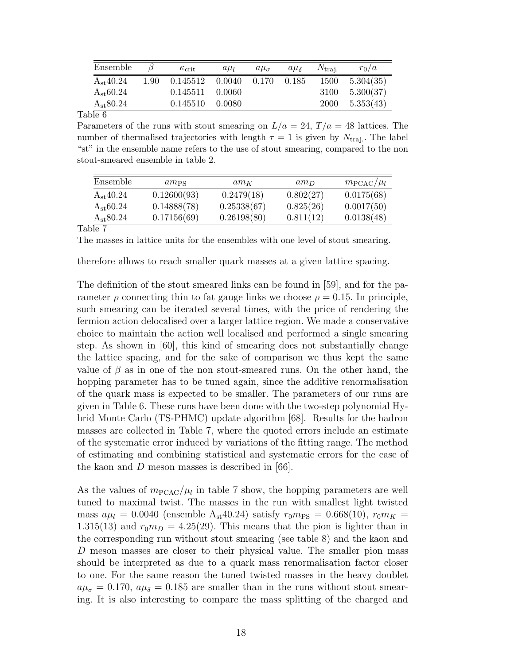| Ensemble      |      | $\kappa$ <sub>crit</sub> | $a\mu$           | $a\mu_{\sigma}$ | $a\mu_{\delta}$ | $N_{\text{trai.}}$ | $r_0/a$   |
|---------------|------|--------------------------|------------------|-----------------|-----------------|--------------------|-----------|
| $A_{st}40.24$ | 1.90 | 0.145512                 | $0.0040$ $0.170$ |                 | 0.185           | 1500               | 5.304(35) |
| $A_{st}60.24$ |      | $0.145511 \quad 0.0060$  |                  |                 |                 | 3100               | 5.300(37) |
| $A_{st}80.24$ |      | 0.145510                 | - 0.0080         |                 |                 | 2000               | 5.353(43) |

Parameters of the runs with stout smearing on  $L/a = 24$ ,  $T/a = 48$  lattices. The number of thermalised trajectories with length  $\tau = 1$  is given by  $N_{\text{traj.}}$ . The label "st" in the ensemble name refers to the use of stout smearing, compared to the non stout-smeared ensemble in table 2.

| Ensemble      | $am_{PS}$   | $am_K$      | $am_D$    | $m_{\text{PCAC}}/\mu_l$ |
|---------------|-------------|-------------|-----------|-------------------------|
| $A_{st}40.24$ | 0.12600(93) | 0.2479(18)  | 0.802(27) | 0.0175(68)              |
| $A_{st}60.24$ | 0.14888(78) | 0.25338(67) | 0.825(26) | 0.0017(50)              |
| $A_{st}80.24$ | 0.17156(69) | 0.26198(80) | 0.811(12) | 0.0138(48)              |

Table 7

The masses in lattice units for the ensembles with one level of stout smearing.

therefore allows to reach smaller quark masses at a given lattice spacing.

The definition of the stout smeared links can be found in [59], and for the parameter  $\rho$  connecting thin to fat gauge links we choose  $\rho = 0.15$ . In principle, such smearing can be iterated several times, with the price of rendering the fermion action delocalised over a larger lattice region. We made a conservative choice to maintain the action well localised and performed a single smearing step. As shown in [60], this kind of smearing does not substantially change the lattice spacing, and for the sake of comparison we thus kept the same value of  $\beta$  as in one of the non stout-smeared runs. On the other hand, the hopping parameter has to be tuned again, since the additive renormalisation of the quark mass is expected to be smaller. The parameters of our runs are given in Table 6. These runs have been done with the two-step polynomial Hybrid Monte Carlo (TS-PHMC) update algorithm [68]. Results for the hadron masses are collected in Table 7, where the quoted errors include an estimate of the systematic error induced by variations of the fitting range. The method of estimating and combining statistical and systematic errors for the case of the kaon and D meson masses is described in [66].

As the values of  $m_{\text{PCAC}}/\mu_l$  in table 7 show, the hopping parameters are well tuned to maximal twist. The masses in the run with smallest light twisted mass  $a\mu_l = 0.0040$  (ensemble A<sub>st</sub>40.24) satisfy  $r_0m_{\rm PS} = 0.668(10), r_0m_K =$ 1.315(13) and  $r_0m_D = 4.25(29)$ . This means that the pion is lighter than in the corresponding run without stout smearing (see table 8) and the kaon and D meson masses are closer to their physical value. The smaller pion mass should be interpreted as due to a quark mass renormalisation factor closer to one. For the same reason the tuned twisted masses in the heavy doublet  $a\mu_{\sigma} = 0.170$ ,  $a\mu_{\delta} = 0.185$  are smaller than in the runs without stout smearing. It is also interesting to compare the mass splitting of the charged and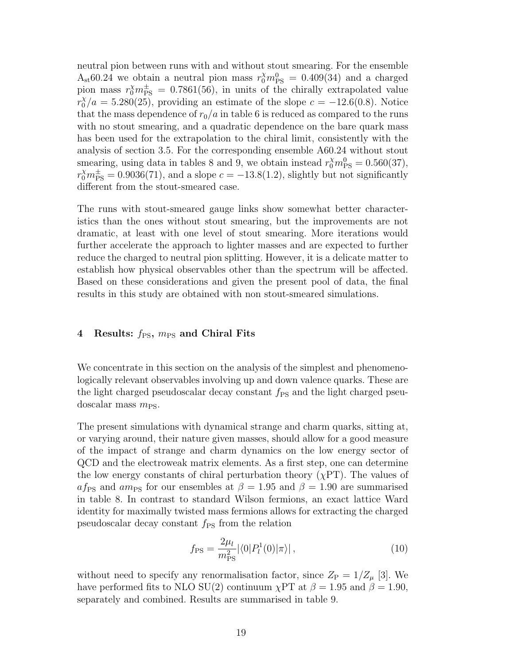neutral pion between runs with and without stout smearing. For the ensemble  $A_{st}60.24$  we obtain a neutral pion mass  $r_0^{\chi}m_{\text{PS}}^0 = 0.409(34)$  and a charged pion mass  $r_0^{\chi}m_{\text{PS}}^{\pm} = 0.7861(56)$ , in units of the chirally extrapolated value  $r_0^{\chi}/a = 5.280(25)$ , providing an estimate of the slope  $c = -12.6(0.8)$ . Notice that the mass dependence of  $r_0/a$  in table 6 is reduced as compared to the runs with no stout smearing, and a quadratic dependence on the bare quark mass has been used for the extrapolation to the chiral limit, consistently with the analysis of section 3.5. For the corresponding ensemble A60.24 without stout smearing, using data in tables 8 and 9, we obtain instead  $r_0^{\chi}m_{\text{PS}}^0 = 0.560(37)$ ,  $r_0^{\chi}m_{\text{PS}}^{\pm} = 0.9036(71)$ , and a slope  $c = -13.8(1.2)$ , slightly but not significantly different from the stout-smeared case.

The runs with stout-smeared gauge links show somewhat better characteristics than the ones without stout smearing, but the improvements are not dramatic, at least with one level of stout smearing. More iterations would further accelerate the approach to lighter masses and are expected to further reduce the charged to neutral pion splitting. However, it is a delicate matter to establish how physical observables other than the spectrum will be affected. Based on these considerations and given the present pool of data, the final results in this study are obtained with non stout-smeared simulations.

# 4 Results:  $f_{PS}$ ,  $m_{PS}$  and Chiral Fits

We concentrate in this section on the analysis of the simplest and phenomenologically relevant observables involving up and down valence quarks. These are the light charged pseudoscalar decay constant  $f_{PS}$  and the light charged pseudoscalar mass  $m_{PS}$ .

The present simulations with dynamical strange and charm quarks, sitting at, or varying around, their nature given masses, should allow for a good measure of the impact of strange and charm dynamics on the low energy sector of QCD and the electroweak matrix elements. As a first step, one can determine the low energy constants of chiral perturbation theory  $(\chi PT)$ . The values of af<sub>PS</sub> and am<sub>PS</sub> for our ensembles at  $\beta = 1.95$  and  $\beta = 1.90$  are summarised in table 8. In contrast to standard Wilson fermions, an exact lattice Ward identity for maximally twisted mass fermions allows for extracting the charged pseudoscalar decay constant  $f_{PS}$  from the relation

$$
f_{\rm PS} = \frac{2\mu_l}{m_{\rm PS}^2} |\langle 0|P_l^1(0)|\pi \rangle| \,, \tag{10}
$$

without need to specify any renormalisation factor, since  $Z_{\rm P} = 1/Z_{\mu}$  [3]. We have performed fits to NLO SU(2) continuum  $\chi PT$  at  $\beta = 1.95$  and  $\beta = 1.90$ , separately and combined. Results are summarised in table 9.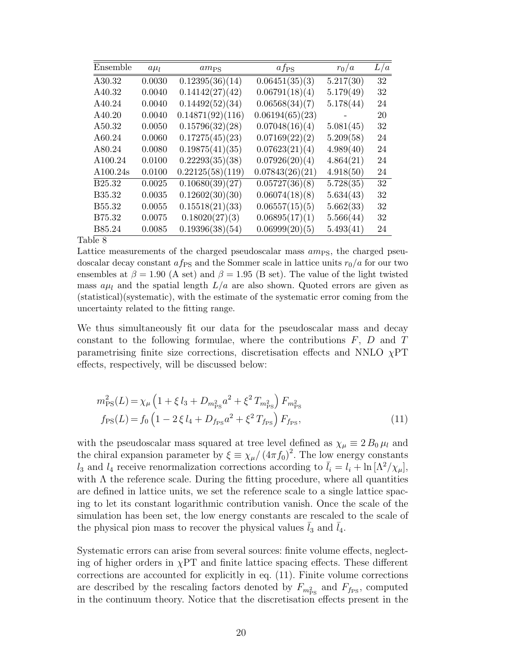| Ensemble      | $a\mu_l$ | $am_{PS}$                    | $af_{PS}$       | $r_0/a$                | L/a |
|---------------|----------|------------------------------|-----------------|------------------------|-----|
| A30.32        | 0.0030   | $\overline{0.12395(36)(14)}$ | 0.06451(35)(3)  | $\overline{5.217(30)}$ | 32  |
| A40.32        | 0.0040   | 0.14142(27)(42)              | 0.06791(18)(4)  | 5.179(49)              | 32  |
| A40.24        | 0.0040   | 0.14492(52)(34)              | 0.06568(34)(7)  | 5.178(44)              | 24  |
| A40.20        | 0.0040   | 0.14871(92)(116)             | 0.06194(65)(23) |                        | 20  |
| A50.32        | 0.0050   | 0.15796(32)(28)              | 0.07048(16)(4)  | 5.081(45)              | 32  |
| A60.24        | 0.0060   | 0.17275(45)(23)              | 0.07169(22)(2)  | 5.209(58)              | 24  |
| A80.24        | 0.0080   | 0.19875(41)(35)              | 0.07623(21)(4)  | 4.989(40)              | 24  |
| A100.24       | 0.0100   | 0.22293(35)(38)              | 0.07926(20)(4)  | 4.864(21)              | 24  |
| A100.24s      | 0.0100   | 0.22125(58)(119)             | 0.07843(26)(21) | 4.918(50)              | 24  |
| <b>B25.32</b> | 0.0025   | 0.10680(39)(27)              | 0.05727(36)(8)  | 5.728(35)              | 32  |
| B35.32        | 0.0035   | 0.12602(30)(30)              | 0.06074(18)(8)  | 5.634(43)              | 32  |
| B55.32        | 0.0055   | 0.15518(21)(33)              | 0.06557(15)(5)  | 5.662(33)              | 32  |
| B75.32        | 0.0075   | 0.18020(27)(3)               | 0.06895(17)(1)  | 5.566(44)              | 32  |
| B85.24        | 0.0085   | 0.19396(38)(54)              | 0.06999(20)(5)  | 5.493(41)              | 24  |

Lattice measurements of the charged pseudoscalar mass  $am_{PS}$ , the charged pseudoscalar decay constant  $af_{PS}$  and the Sommer scale in lattice units  $r_0/a$  for our two ensembles at  $\beta = 1.90$  (A set) and  $\beta = 1.95$  (B set). The value of the light twisted mass  $a\mu_l$  and the spatial length  $L/a$  are also shown. Quoted errors are given as (statistical)(systematic), with the estimate of the systematic error coming from the uncertainty related to the fitting range.

We thus simultaneously fit our data for the pseudoscalar mass and decay constant to the following formulae, where the contributions  $F$ ,  $D$  and  $T$ parametrising finite size corrections, discretisation effects and NNLO  $\chi$ PT effects, respectively, will be discussed below:

$$
m_{\rm PS}^2(L) = \chi_{\mu} \left( 1 + \xi \, l_3 + D_{m_{\rm PS}^2} a^2 + \xi^2 \, T_{m_{\rm PS}^2} \right) F_{m_{\rm PS}^2}
$$
  
\n
$$
f_{\rm PS}(L) = f_0 \left( 1 - 2 \, \xi \, l_4 + D_{f_{\rm PS}} a^2 + \xi^2 \, T_{f_{\rm PS}} \right) F_{f_{\rm PS}},
$$
\n(11)

with the pseudoscalar mass squared at tree level defined as  $\chi_{\mu} \equiv 2 B_0 \mu_l$  and the chiral expansion parameter by  $\xi \equiv \chi_{\mu}/(4\pi f_0)^2$ . The low energy constants  $l_3$  and  $l_4$  receive renormalization corrections according to  $\bar{l}_i = l_i + \ln[\Lambda^2/\chi_\mu]$ , with  $\Lambda$  the reference scale. During the fitting procedure, where all quantities are defined in lattice units, we set the reference scale to a single lattice spacing to let its constant logarithmic contribution vanish. Once the scale of the simulation has been set, the low energy constants are rescaled to the scale of the physical pion mass to recover the physical values  $\bar{l}_3$  and  $\bar{l}_4$ .

Systematic errors can arise from several sources: finite volume effects, neglecting of higher orders in  $\chi$ PT and finite lattice spacing effects. These different corrections are accounted for explicitly in eq. (11). Finite volume corrections are described by the rescaling factors denoted by  $F_{m_{\rm PS}^2}$  and  $F_{f_{\rm PS}}$ , computed in the continuum theory. Notice that the discretisation effects present in the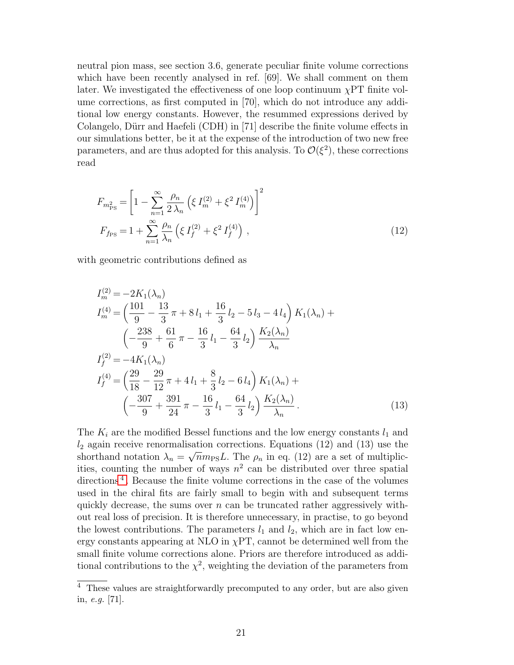neutral pion mass, see section 3.6, generate peculiar finite volume corrections which have been recently analysed in ref. [69]. We shall comment on them later. We investigated the effectiveness of one loop continuum  $\chi PT$  finite volume corrections, as first computed in [70], which do not introduce any additional low energy constants. However, the resummed expressions derived by Colangelo, Dürr and Haefeli (CDH) in [71] describe the finite volume effects in our simulations better, be it at the expense of the introduction of two new free parameters, and are thus adopted for this analysis. To  $\mathcal{O}(\xi^2)$ , these corrections read

$$
F_{m_{\rm PS}^2} = \left[1 - \sum_{n=1}^{\infty} \frac{\rho_n}{2\,\lambda_n} \left(\xi \, I_m^{(2)} + \xi^2 \, I_m^{(4)}\right)\right]^2
$$
  
\n
$$
F_{f_{\rm PS}} = 1 + \sum_{n=1}^{\infty} \frac{\rho_n}{\lambda_n} \left(\xi \, I_f^{(2)} + \xi^2 \, I_f^{(4)}\right) \,,\tag{12}
$$

with geometric contributions defined as

$$
I_{m}^{(2)} = -2K_{1}(\lambda_{n})
$$
  
\n
$$
I_{m}^{(4)} = \left(\frac{101}{9} - \frac{13}{3}\pi + 8l_{1} + \frac{16}{3}l_{2} - 5l_{3} - 4l_{4}\right) K_{1}(\lambda_{n}) +
$$
  
\n
$$
\left(-\frac{238}{9} + \frac{61}{6}\pi - \frac{16}{3}l_{1} - \frac{64}{3}l_{2}\right) \frac{K_{2}(\lambda_{n})}{\lambda_{n}}
$$
  
\n
$$
I_{f}^{(2)} = -4K_{1}(\lambda_{n})
$$
  
\n
$$
I_{f}^{(4)} = \left(\frac{29}{18} - \frac{29}{12}\pi + 4l_{1} + \frac{8}{3}l_{2} - 6l_{4}\right) K_{1}(\lambda_{n}) +
$$
  
\n
$$
\left(-\frac{307}{9} + \frac{391}{24}\pi - \frac{16}{3}l_{1} - \frac{64}{3}l_{2}\right) \frac{K_{2}(\lambda_{n})}{\lambda_{n}}.
$$
  
\n(13)

The  $K_i$  are the modified Bessel functions and the low energy constants  $l_1$  and  $l_2$  again receive renormalisation corrections. Equations (12) and (13) use the shorthand notation  $\lambda_n = \sqrt{n} m_{\text{PS}} L$ . The  $\rho_n$  in eq. (12) are a set of multiplicities, counting the number of ways  $n^2$  can be distributed over three spatial directions<sup>[4](#page-20-0)</sup>. Because the finite volume corrections in the case of the volumes used in the chiral fits are fairly small to begin with and subsequent terms quickly decrease, the sums over  $n$  can be truncated rather aggressively without real loss of precision. It is therefore unnecessary, in practise, to go beyond the lowest contributions. The parameters  $l_1$  and  $l_2$ , which are in fact low energy constants appearing at NLO in  $\chi$ PT, cannot be determined well from the small finite volume corrections alone. Priors are therefore introduced as additional contributions to the  $\chi^2$ , weighting the deviation of the parameters from

<span id="page-20-0"></span> $\overline{4}$  These values are straightforwardly precomputed to any order, but are also given in, e.g. [71].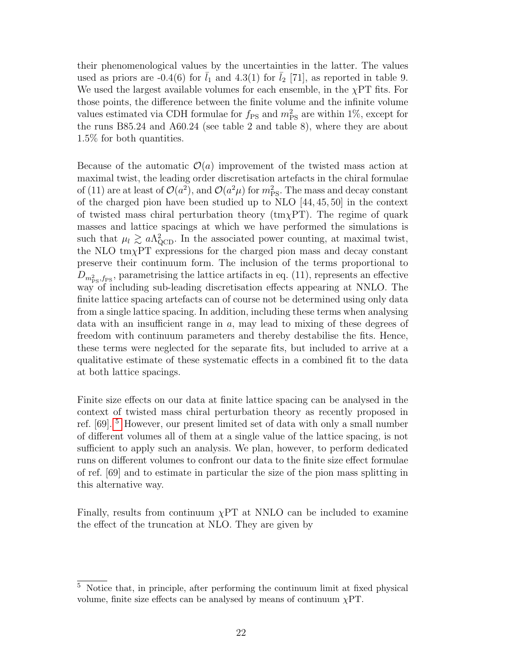their phenomenological values by the uncertainties in the latter. The values used as priors are  $-0.4(6)$  for  $l_1$  and  $4.3(1)$  for  $l_2$  [71], as reported in table 9. We used the largest available volumes for each ensemble, in the  $\chi PT$  fits. For those points, the difference between the finite volume and the infinite volume values estimated via CDH formulae for  $f_{PS}$  and  $m_{PS}^2$  are within 1%, except for the runs B85.24 and A60.24 (see table 2 and table 8), where they are about 1.5% for both quantities.

Because of the automatic  $\mathcal{O}(a)$  improvement of the twisted mass action at maximal twist, the leading order discretisation artefacts in the chiral formulae of (11) are at least of  $\mathcal{O}(a^2)$ , and  $\mathcal{O}(a^2\mu)$  for  $m_{\rm PS}^2$ . The mass and decay constant of the charged pion have been studied up to NLO [44, 45, 50] in the context of twisted mass chiral perturbation theory  $(\text{tm}\chi PT)$ . The regime of quark masses and lattice spacings at which we have performed the simulations is such that  $\mu_l \gtrsim a\Lambda_{\text{QCD}}^2$ . In the associated power counting, at maximal twist, the NLO  $\text{tm}\chi\text{PT}$  expressions for the charged pion mass and decay constant preserve their continuum form. The inclusion of the terms proportional to  $D_{m_{\rm PS}^2, f_{\rm PS}}$ , parametrising the lattice artifacts in eq. (11), represents an effective way of including sub-leading discretisation effects appearing at NNLO. The finite lattice spacing artefacts can of course not be determined using only data from a single lattice spacing. In addition, including these terms when analysing data with an insufficient range in  $a$ , may lead to mixing of these degrees of freedom with continuum parameters and thereby destabilise the fits. Hence, these terms were neglected for the separate fits, but included to arrive at a qualitative estimate of these systematic effects in a combined fit to the data at both lattice spacings.

Finite size effects on our data at finite lattice spacing can be analysed in the context of twisted mass chiral perturbation theory as recently proposed in ref. [69]. [5](#page-21-0) However, our present limited set of data with only a small number of different volumes all of them at a single value of the lattice spacing, is not sufficient to apply such an analysis. We plan, however, to perform dedicated runs on different volumes to confront our data to the finite size effect formulae of ref. [69] and to estimate in particular the size of the pion mass splitting in this alternative way.

Finally, results from continuum  $\chi$ PT at NNLO can be included to examine the effect of the truncation at NLO. They are given by

<span id="page-21-0"></span><sup>5</sup> Notice that, in principle, after performing the continuum limit at fixed physical volume, finite size effects can be analysed by means of continuum  $\chi PT$ .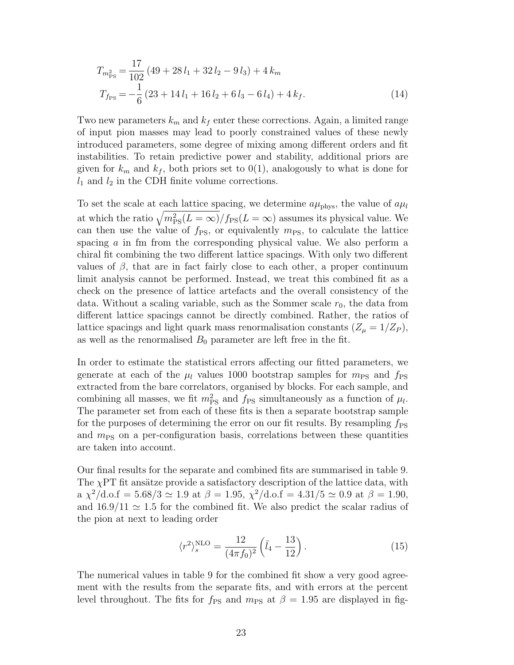$$
T_{m_{\rm PS}^2} = \frac{17}{102} \left( 49 + 28 l_1 + 32 l_2 - 9 l_3 \right) + 4 k_m
$$
  
\n
$$
T_{f_{\rm PS}} = -\frac{1}{6} \left( 23 + 14 l_1 + 16 l_2 + 6 l_3 - 6 l_4 \right) + 4 k_f.
$$
\n(14)

Two new parameters  $k_m$  and  $k_f$  enter these corrections. Again, a limited range of input pion masses may lead to poorly constrained values of these newly introduced parameters, some degree of mixing among different orders and fit instabilities. To retain predictive power and stability, additional priors are given for  $k_m$  and  $k_f$ , both priors set to 0(1), analogously to what is done for  $l_1$  and  $l_2$  in the CDH finite volume corrections.

To set the scale at each lattice spacing, we determine  $a\mu_{\text{phys}}$ , the value of  $a\mu_l$ at which the ratio  $\sqrt{m_{\rm PS}^2 (L = \infty)}/f_{\rm PS}(L = \infty)$  assumes its physical value. We can then use the value of  $f_{PS}$ , or equivalently  $m_{PS}$ , to calculate the lattice spacing a in fm from the corresponding physical value. We also perform a chiral fit combining the two different lattice spacings. With only two different values of  $\beta$ , that are in fact fairly close to each other, a proper continuum limit analysis cannot be performed. Instead, we treat this combined fit as a check on the presence of lattice artefacts and the overall consistency of the data. Without a scaling variable, such as the Sommer scale  $r_0$ , the data from different lattice spacings cannot be directly combined. Rather, the ratios of lattice spacings and light quark mass renormalisation constants  $(Z_{\mu} = 1/Z_P)$ , as well as the renormalised  $B_0$  parameter are left free in the fit.

In order to estimate the statistical errors affecting our fitted parameters, we generate at each of the  $\mu_l$  values 1000 bootstrap samples for  $m_{PS}$  and  $f_{PS}$ extracted from the bare correlators, organised by blocks. For each sample, and combining all masses, we fit  $m_{\text{PS}}^2$  and  $f_{\text{PS}}$  simultaneously as a function of  $\mu_l$ . The parameter set from each of these fits is then a separate bootstrap sample for the purposes of determining the error on our fit results. By resampling  $f_{PS}$ and  $m_{PS}$  on a per-configuration basis, correlations between these quantities are taken into account.

Our final results for the separate and combined fits are summarised in table 9. The  $\chi$ PT fit ansätze provide a satisfactory description of the lattice data, with  $a \chi^2/d.o.f = 5.68/3 \simeq 1.9$  at  $\beta = 1.95$ ,  $\chi^2/d.o.f = 4.31/5 \simeq 0.9$  at  $\beta = 1.90$ , and  $16.9/11 \simeq 1.5$  for the combined fit. We also predict the scalar radius of the pion at next to leading order

$$
\langle r^2 \rangle_s^{\text{NLO}} = \frac{12}{(4\pi f_0)^2} \left( \bar{l}_4 - \frac{13}{12} \right). \tag{15}
$$

The numerical values in table 9 for the combined fit show a very good agreement with the results from the separate fits, and with errors at the percent level throughout. The fits for  $f_{PS}$  and  $m_{PS}$  at  $\beta = 1.95$  are displayed in fig-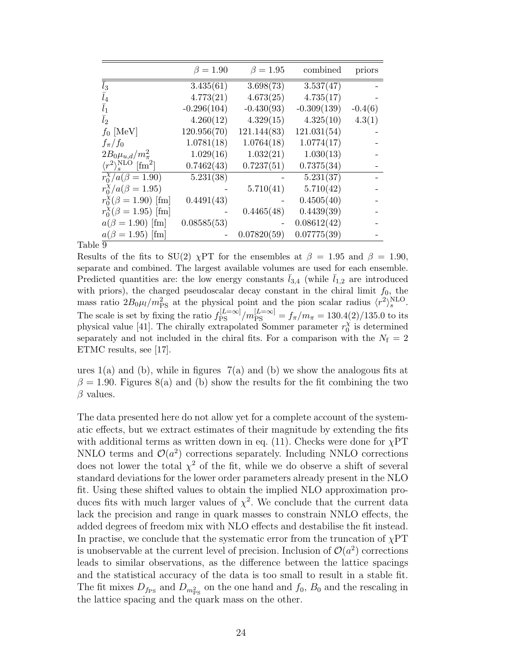|                                                         | $\beta = 1.90$         | $\beta = 1.95$ | combined      | priors    |
|---------------------------------------------------------|------------------------|----------------|---------------|-----------|
| $\bar{l}_3$                                             | 3.435(61)              | 3.698(73)      | 3.537(47)     |           |
| $l_4$                                                   | 4.773(21)              | 4.673(25)      | 4.735(17)     |           |
| $l_1$                                                   | $-0.296(104)$          | $-0.430(93)$   | $-0.309(139)$ | $-0.4(6)$ |
| l <sub>2</sub>                                          | 4.260(12)              | 4.329(15)      | 4.325(10)     | 4.3(1)    |
| $f_0$ [MeV]                                             | 120.956(70)            | 121.144(83)    | 121.031(54)   |           |
| $f_{\pi}/f_0$                                           | 1.0781(18)             | 1.0764(18)     | 1.0774(17)    |           |
| $2B_0\mu_{u,d}/m_{\pi}^2$                               | 1.029(16)              | 1.032(21)      | 1.030(13)     |           |
| $\langle r^2 \rangle_s^{\text{NLO}}$ [fm <sup>2</sup> ] | 0.7462(43)             | 0.7237(51)     | 0.7375(34)    |           |
| $r_0^{\chi}/a(\beta = 1.90)$                            | $\overline{5.231(38)}$ |                | 5.231(37)     |           |
| $r_0^{\chi}/a(\beta = 1.95)$                            |                        | 5.710(41)      | 5.710(42)     |           |
| $r_0^{\chi}(\beta = 1.90)$ [fm]                         | 0.4491(43)             |                | 0.4505(40)    |           |
| $r_0^{\chi}(\beta = 1.95)$ [fm]                         |                        | 0.4465(48)     | 0.4439(39)    |           |
| $a(\beta = 1.90)$ [fm]                                  | 0.08585(53)            |                | 0.08612(42)   |           |
| $a(\beta = 1.95)$ [fm]                                  |                        | 0.07820(59)    | 0.07775(39)   |           |

Results of the fits to SU(2)  $\chi$ PT for the ensembles at  $\beta = 1.95$  and  $\beta = 1.90$ , separate and combined. The largest available volumes are used for each ensemble. Predicted quantities are: the low energy constants  $\bar{l}_{3,4}$  (while  $\bar{l}_{1,2}$  are introduced with priors), the charged pseudoscalar decay constant in the chiral limit  $f_0$ , the mass ratio  $2B_0\mu_l/m_{\rm PS}^2$  at the physical point and the pion scalar radius  $\langle r^2 \rangle_s^{\rm NLO}$ . The scale is set by fixing the ratio  $f_{\rm PS}^{[L=\infty]}/m_{\rm PS}^{[L=\infty]} = f_{\pi}/m_{\pi} = 130.4(2)/135.0$  to its physical value [41]. The chirally extrapolated Sommer parameter  $r_0^{\chi}$  $\frac{\chi}{0}$  is determined separately and not included in the chiral fits. For a comparison with the  $N_f = 2$ ETMC results, see [17].

ures  $1(a)$  and (b), while in figures  $7(a)$  and (b) we show the analogous fits at  $\beta = 1.90$ . Figures 8(a) and (b) show the results for the fit combining the two  $\beta$  values.

The data presented here do not allow yet for a complete account of the systematic effects, but we extract estimates of their magnitude by extending the fits with additional terms as written down in eq. (11). Checks were done for  $\chi PT$ NNLO terms and  $\mathcal{O}(a^2)$  corrections separately. Including NNLO corrections does not lower the total  $\chi^2$  of the fit, while we do observe a shift of several standard deviations for the lower order parameters already present in the NLO fit. Using these shifted values to obtain the implied NLO approximation produces fits with much larger values of  $\chi^2$ . We conclude that the current data lack the precision and range in quark masses to constrain NNLO effects, the added degrees of freedom mix with NLO effects and destabilise the fit instead. In practise, we conclude that the systematic error from the truncation of  $\chi PT$ is unobservable at the current level of precision. Inclusion of  $\mathcal{O}(a^2)$  corrections leads to similar observations, as the difference between the lattice spacings and the statistical accuracy of the data is too small to result in a stable fit. The fit mixes  $D_{f_{\text{PS}}}$  and  $D_{m_{\text{PS}}^2}$  on the one hand and  $f_0$ ,  $B_0$  and the rescaling in the lattice spacing and the quark mass on the other.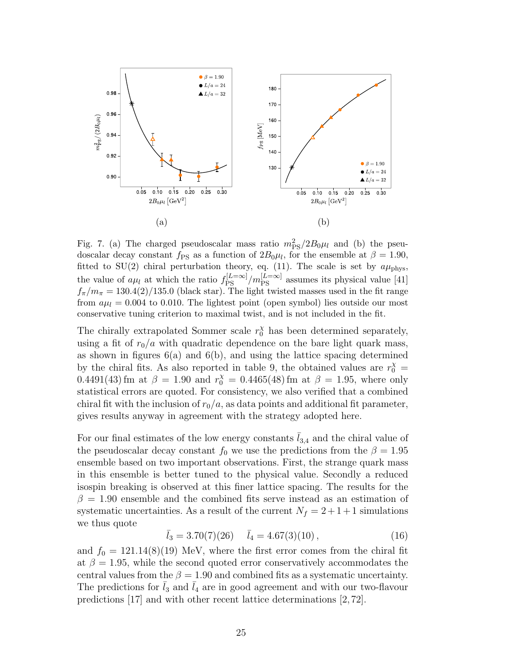![](_page_24_Figure_0.jpeg)

Fig. 7. (a) The charged pseudoscalar mass ratio  $m_{\rm PS}^2/2B_0\mu_l$  and (b) the pseudoscalar decay constant  $f_{PS}$  as a function of  $2B_0\mu_l$ , for the ensemble at  $\beta = 1.90$ , fitted to SU(2) chiral perturbation theory, eq. (11). The scale is set by  $a\mu_{\rm phys}$ , the value of  $a\mu_l$  at which the ratio  $f_{\rm PS}^{[L=\infty]}/m_{\rm PS}^{[L=\infty]}$  assumes its physical value [41]  $f_{\pi}/m_{\pi} = 130.4(2)/135.0$  (black star). The light twisted masses used in the fit range from  $a\mu_l = 0.004$  to 0.010. The lightest point (open symbol) lies outside our most conservative tuning criterion to maximal twist, and is not included in the fit.

The chirally extrapolated Sommer scale  $r_0^{\chi}$  has been determined separately, using a fit of  $r_0/a$  with quadratic dependence on the bare light quark mass, as shown in figures  $6(a)$  and  $6(b)$ , and using the lattice spacing determined by the chiral fits. As also reported in table 9, the obtained values are  $r_0^{\chi}$  = 0.4491(43) fm at  $\beta = 1.90$  and  $r_0^{\chi} = 0.4465(48)$  fm at  $\beta = 1.95$ , where only statistical errors are quoted. For consistency, we also verified that a combined chiral fit with the inclusion of  $r_0/a$ , as data points and additional fit parameter, gives results anyway in agreement with the strategy adopted here.

For our final estimates of the low energy constants  $\bar{l}_{3,4}$  and the chiral value of the pseudoscalar decay constant  $f_0$  we use the predictions from the  $\beta = 1.95$ ensemble based on two important observations. First, the strange quark mass in this ensemble is better tuned to the physical value. Secondly a reduced isospin breaking is observed at this finer lattice spacing. The results for the  $\beta = 1.90$  ensemble and the combined fits serve instead as an estimation of systematic uncertainties. As a result of the current  $N_f = 2 + 1 + 1$  simulations we thus quote

$$
\bar{l}_3 = 3.70(7)(26) \qquad \bar{l}_4 = 4.67(3)(10) \,, \tag{16}
$$

and  $f_0 = 121.14(8)(19)$  MeV, where the first error comes from the chiral fit at  $\beta = 1.95$ , while the second quoted error conservatively accommodates the central values from the  $\beta = 1.90$  and combined fits as a systematic uncertainty. The predictions for  $l_3$  and  $l_4$  are in good agreement and with our two-flavour predictions [17] and with other recent lattice determinations [2, 72].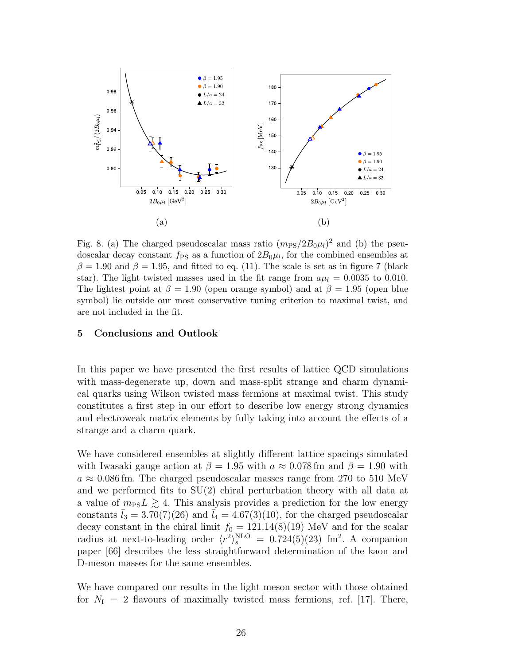![](_page_25_Figure_0.jpeg)

Fig. 8. (a) The charged pseudoscalar mass ratio  $(m_{PS}/2B_0\mu_l)^2$  and (b) the pseudoscalar decay constant  $f_{\rm PS}$  as a function of  $2B_0\mu_l$ , for the combined ensembles at  $\beta = 1.90$  and  $\beta = 1.95$ , and fitted to eq. (11). The scale is set as in figure 7 (black star). The light twisted masses used in the fit range from  $a\mu_l = 0.0035$  to 0.010. The lightest point at  $\beta = 1.90$  (open orange symbol) and at  $\beta = 1.95$  (open blue symbol) lie outside our most conservative tuning criterion to maximal twist, and are not included in the fit.

## 5 Conclusions and Outlook

In this paper we have presented the first results of lattice QCD simulations with mass-degenerate up, down and mass-split strange and charm dynamical quarks using Wilson twisted mass fermions at maximal twist. This study constitutes a first step in our effort to describe low energy strong dynamics and electroweak matrix elements by fully taking into account the effects of a strange and a charm quark.

We have considered ensembles at slightly different lattice spacings simulated with Iwasaki gauge action at  $\beta = 1.95$  with  $a \approx 0.078$  fm and  $\beta = 1.90$  with  $a \approx 0.086$  fm. The charged pseudoscalar masses range from 270 to 510 MeV and we performed fits to SU(2) chiral perturbation theory with all data at a value of  $m_{PS}L \gtrsim 4$ . This analysis provides a prediction for the low energy constants  $l_3 = 3.70(7)(26)$  and  $l_4 = 4.67(3)(10)$ , for the charged pseudoscalar decay constant in the chiral limit  $f_0 = 121.14(8)(19)$  MeV and for the scalar radius at next-to-leading order  $\langle r^2 \rangle_s^{\text{NLO}} = 0.724(5)(23)$  fm<sup>2</sup>. A companion paper [66] describes the less straightforward determination of the kaon and D-meson masses for the same ensembles.

We have compared our results in the light meson sector with those obtained for  $N_f = 2$  flavours of maximally twisted mass fermions, ref. [17]. There,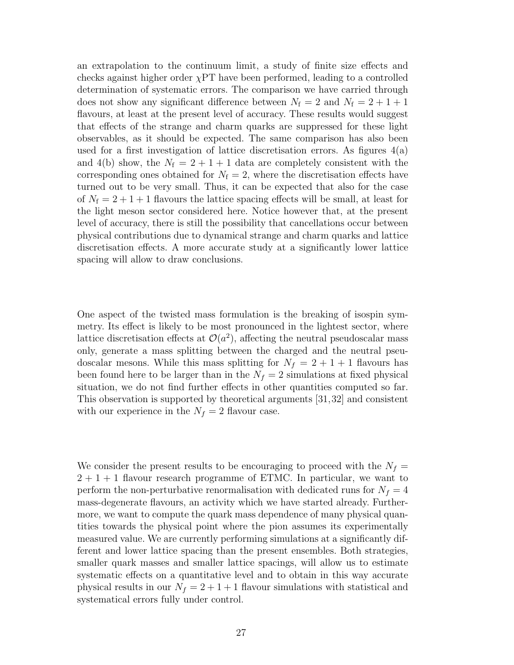an extrapolation to the continuum limit, a study of finite size effects and checks against higher order  $\chi$ PT have been performed, leading to a controlled determination of systematic errors. The comparison we have carried through does not show any significant difference between  $N_f = 2$  and  $N_f = 2 + 1 + 1$ flavours, at least at the present level of accuracy. These results would suggest that effects of the strange and charm quarks are suppressed for these light observables, as it should be expected. The same comparison has also been used for a first investigation of lattice discretisation errors. As figures 4(a) and 4(b) show, the  $N_f = 2 + 1 + 1$  data are completely consistent with the corresponding ones obtained for  $N_f = 2$ , where the discretisation effects have turned out to be very small. Thus, it can be expected that also for the case of  $N_f = 2 + 1 + 1$  flavours the lattice spacing effects will be small, at least for the light meson sector considered here. Notice however that, at the present level of accuracy, there is still the possibility that cancellations occur between physical contributions due to dynamical strange and charm quarks and lattice discretisation effects. A more accurate study at a significantly lower lattice spacing will allow to draw conclusions.

One aspect of the twisted mass formulation is the breaking of isospin symmetry. Its effect is likely to be most pronounced in the lightest sector, where lattice discretisation effects at  $\mathcal{O}(a^2)$ , affecting the neutral pseudoscalar mass only, generate a mass splitting between the charged and the neutral pseudoscalar mesons. While this mass splitting for  $N_f = 2 + 1 + 1$  flavours has been found here to be larger than in the  $N_f = 2$  simulations at fixed physical situation, we do not find further effects in other quantities computed so far. This observation is supported by theoretical arguments [31,32] and consistent with our experience in the  $N_f = 2$  flavour case.

We consider the present results to be encouraging to proceed with the  $N_f =$  $2 + 1 + 1$  flavour research programme of ETMC. In particular, we want to perform the non-perturbative renormalisation with dedicated runs for  $N_f = 4$ mass-degenerate flavours, an activity which we have started already. Furthermore, we want to compute the quark mass dependence of many physical quantities towards the physical point where the pion assumes its experimentally measured value. We are currently performing simulations at a significantly different and lower lattice spacing than the present ensembles. Both strategies, smaller quark masses and smaller lattice spacings, will allow us to estimate systematic effects on a quantitative level and to obtain in this way accurate physical results in our  $N_f = 2 + 1 + 1$  flavour simulations with statistical and systematical errors fully under control.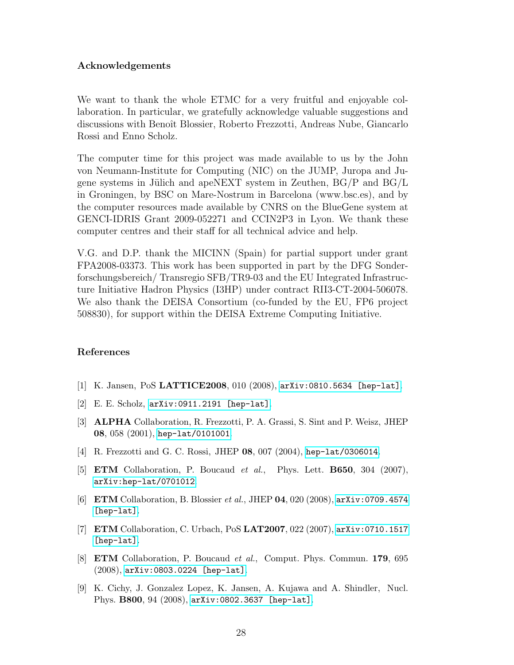# Acknowledgements

We want to thank the whole ETMC for a very fruitful and enjoyable collaboration. In particular, we gratefully acknowledge valuable suggestions and discussions with Benoît Blossier, Roberto Frezzotti, Andreas Nube, Giancarlo Rossi and Enno Scholz.

The computer time for this project was made available to us by the John von Neumann-Institute for Computing (NIC) on the JUMP, Juropa and Jugene systems in Jülich and apeNEXT system in Zeuthen,  $BG/P$  and  $BG/L$ in Groningen, by BSC on Mare-Nostrum in Barcelona (www.bsc.es), and by the computer resources made available by CNRS on the BlueGene system at GENCI-IDRIS Grant 2009-052271 and CCIN2P3 in Lyon. We thank these computer centres and their staff for all technical advice and help.

V.G. and D.P. thank the MICINN (Spain) for partial support under grant FPA2008-03373. This work has been supported in part by the DFG Sonderforschungsbereich/ Transregio SFB/TR9-03 and the EU Integrated Infrastructure Initiative Hadron Physics (I3HP) under contract RII3-CT-2004-506078. We also thank the DEISA Consortium (co-funded by the EU, FP6 project 508830), for support within the DEISA Extreme Computing Initiative.

# References

- [1] K. Jansen, PoS LATTICE2008, 010 (2008), [arXiv:0810.5634 \[hep-lat\]](http://arxiv.org/abs/0810.5634).
- [2] E. E. Scholz, [arXiv:0911.2191 \[hep-lat\]](http://arxiv.org/abs/0911.2191).
- [3] ALPHA Collaboration, R. Frezzotti, P. A. Grassi, S. Sint and P. Weisz, JHEP 08, 058 (2001), [hep-lat/0101001](http://arxiv.org/abs/hep-lat/0101001).
- [4] R. Frezzotti and G. C. Rossi, JHEP 08, 007 (2004), [hep-lat/0306014](http://arxiv.org/abs/hep-lat/0306014).
- [5] ETM Collaboration, P. Boucaud et al., Phys. Lett. B650, 304 (2007), [arXiv:hep-lat/0701012](http://arxiv.org/abs/hep-lat/0701012).
- [6] ETM Collaboration, B. Blossier et al., JHEP 04, 020 (2008), [arXiv:0709.4574](http://arxiv.org/abs/0709.4574) [\[hep-lat\]](http://arxiv.org/abs/0709.4574).
- [7] ETM Collaboration, C. Urbach, PoS LAT2007, 022 (2007), [arXiv:0710.1517](http://arxiv.org/abs/0710.1517) [\[hep-lat\]](http://arxiv.org/abs/0710.1517).
- [8] ETM Collaboration, P. Boucaud et al., Comput. Phys. Commun. 179, 695 (2008), [arXiv:0803.0224 \[hep-lat\]](http://arxiv.org/abs/0803.0224).
- [9] K. Cichy, J. Gonzalez Lopez, K. Jansen, A. Kujawa and A. Shindler, Nucl. Phys. B800, 94 (2008), [arXiv:0802.3637 \[hep-lat\]](http://arxiv.org/abs/0802.3637).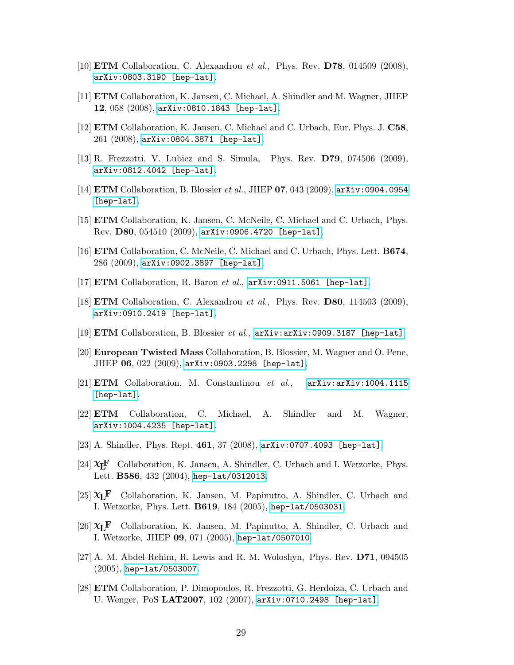- [10] **ETM** Collaboration, C. Alexandrou et al., Phys. Rev. **D78**, 014509 (2008), [arXiv:0803.3190 \[hep-lat\]](http://arxiv.org/abs/0803.3190).
- [11] ETM Collaboration, K. Jansen, C. Michael, A. Shindler and M. Wagner, JHEP 12, 058 (2008), [arXiv:0810.1843 \[hep-lat\]](http://arxiv.org/abs/0810.1843).
- [12] ETM Collaboration, K. Jansen, C. Michael and C. Urbach, Eur. Phys. J. C58, 261 (2008), [arXiv:0804.3871 \[hep-lat\]](http://arxiv.org/abs/0804.3871).
- [13] R. Frezzotti, V. Lubicz and S. Simula, Phys. Rev. D79, 074506 (2009), [arXiv:0812.4042 \[hep-lat\]](http://arxiv.org/abs/0812.4042).
- [14] ETM Collaboration, B. Blossier et al., JHEP 07, 043 (2009), [arXiv:0904.0954](http://arxiv.org/abs/0904.0954) [\[hep-lat\]](http://arxiv.org/abs/0904.0954).
- [15] ETM Collaboration, K. Jansen, C. McNeile, C. Michael and C. Urbach, Phys. Rev. D80, 054510 (2009), [arXiv:0906.4720 \[hep-lat\]](http://arxiv.org/abs/0906.4720).
- [16] ETM Collaboration, C. McNeile, C. Michael and C. Urbach, Phys. Lett. B674, 286 (2009), [arXiv:0902.3897 \[hep-lat\]](http://arxiv.org/abs/0902.3897).
- [17]  $ETM$  Collaboration, R. Baron *et al.*,  $arXiv:0911.5061$  [hep-lat].
- [18] **ETM** Collaboration, C. Alexandrou *et al.*, Phys. Rev. **D80**, 114503 (2009), [arXiv:0910.2419 \[hep-lat\]](http://arxiv.org/abs/0910.2419).
- [19] ETM Collaboration, B. Blossier et al.,  $arXiv:arXiv:0909.3187$  [hep-lat].
- [20] European Twisted Mass Collaboration, B. Blossier, M. Wagner and O. Pene, JHEP 06, 022 (2009), [arXiv:0903.2298 \[hep-lat\]](http://arxiv.org/abs/0903.2298).
- [21] **ETM** Collaboration, M. Constantinou et al.,  $arXiv:arXiv:1004.1115$ [\[hep-lat\]](http://arxiv.org/abs/arXiv:1004.1115).
- [22] ETM Collaboration, C. Michael, A. Shindler and M. Wagner, [arXiv:1004.4235 \[hep-lat\]](http://arxiv.org/abs/1004.4235).
- [23] A. Shindler, Phys. Rept. 461, 37 (2008), [arXiv:0707.4093 \[hep-lat\]](http://arxiv.org/abs/0707.4093).
- [24]  $\mathbf{X}$ **F** Collaboration, K. Jansen, A. Shindler, C. Urbach and I. Wetzorke, Phys. Lett. B586, 432 (2004), [hep-lat/0312013](http://arxiv.org/abs/hep-lat/0312013).
- [25]  $X_L$ **F** Collaboration, K. Jansen, M. Papinutto, A. Shindler, C. Urbach and I. Wetzorke, Phys. Lett. B619, 184 (2005), [hep-lat/0503031](http://arxiv.org/abs/hep-lat/0503031).
- [26]  $X_L$ **F** Collaboration, K. Jansen, M. Papinutto, A. Shindler, C. Urbach and I. Wetzorke, JHEP 09, 071 (2005), [hep-lat/0507010](http://arxiv.org/abs/hep-lat/0507010).
- [27] A. M. Abdel-Rehim, R. Lewis and R. M. Woloshyn, Phys. Rev. D71, 094505 (2005), [hep-lat/0503007](http://arxiv.org/abs/hep-lat/0503007).
- [28] ETM Collaboration, P. Dimopoulos, R. Frezzotti, G. Herdoiza, C. Urbach and U. Wenger, PoS LAT2007, 102 (2007), [arXiv:0710.2498 \[hep-lat\]](http://arxiv.org/abs/0710.2498).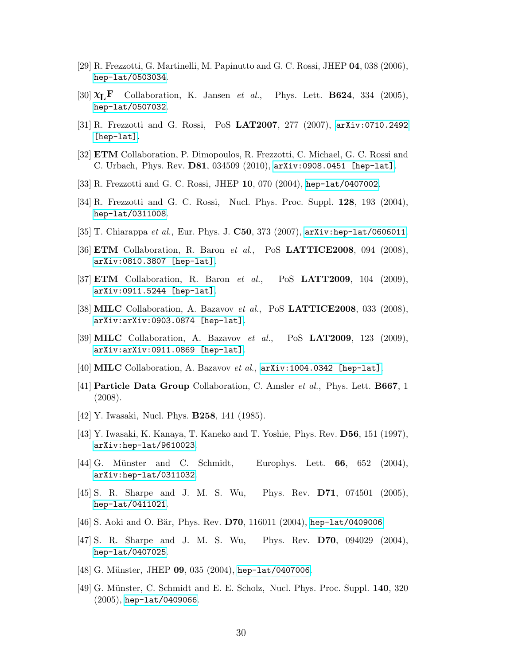- [29] R. Frezzotti, G. Martinelli, M. Papinutto and G. C. Rossi, JHEP 04, 038 (2006), [hep-lat/0503034](http://arxiv.org/abs/hep-lat/0503034).
- [30]  $\mathbf{\chi}_{\mathbf{L}}\mathbf{F}$  Collaboration, K. Jansen *et al.*, Phys. Lett. **B624**, 334 (2005), [hep-lat/0507032](http://arxiv.org/abs/hep-lat/0507032).
- [31] R. Frezzotti and G. Rossi, PoS LAT2007, 277 (2007), [arXiv:0710.2492](http://arxiv.org/abs/0710.2492) [\[hep-lat\]](http://arxiv.org/abs/0710.2492).
- [32] ETM Collaboration, P. Dimopoulos, R. Frezzotti, C. Michael, G. C. Rossi and C. Urbach, Phys. Rev. D81, 034509 (2010), [arXiv:0908.0451 \[hep-lat\]](http://arxiv.org/abs/0908.0451).
- [33] R. Frezzotti and G. C. Rossi, JHEP 10, 070 (2004), [hep-lat/0407002](http://arxiv.org/abs/hep-lat/0407002).
- [34] R. Frezzotti and G. C. Rossi, Nucl. Phys. Proc. Suppl. 128, 193 (2004), [hep-lat/0311008](http://arxiv.org/abs/hep-lat/0311008).
- [35] T. Chiarappa *et al.*, Eur. Phys. J. **C50**, 373 (2007), [arXiv:hep-lat/0606011](http://arxiv.org/abs/hep-lat/0606011).
- [36] **ETM** Collaboration, R. Baron et al., PoS **LATTICE2008**, 094 (2008), [arXiv:0810.3807 \[hep-lat\]](http://arxiv.org/abs/0810.3807).
- [37] **ETM** Collaboration, R. Baron et al., PoS **LATT2009**, 104 (2009), [arXiv:0911.5244 \[hep-lat\]](http://arxiv.org/abs/0911.5244).
- [38] MILC Collaboration, A. Bazavov et al., PoS LATTICE2008, 033 (2008), [arXiv:arXiv:0903.0874 \[hep-lat\]](http://arxiv.org/abs/arXiv:0903.0874).
- [39] MILC Collaboration, A. Bazavov et al., PoS LAT2009, 123 (2009), [arXiv:arXiv:0911.0869 \[hep-lat\]](http://arxiv.org/abs/arXiv:0911.0869).
- [40] **MILC** Collaboration, A. Bazavov *et al.*,  $arXiv:1004.0342$  [hep-lat].
- [41] Particle Data Group Collaboration, C. Amsler et al., Phys. Lett. B667, 1 (2008).
- [42] Y. Iwasaki, Nucl. Phys. B258, 141 (1985).
- [43] Y. Iwasaki, K. Kanaya, T. Kaneko and T. Yoshie, Phys. Rev. D56, 151 (1997), [arXiv:hep-lat/9610023](http://arxiv.org/abs/hep-lat/9610023).
- [44] G. Münster and C. Schmidt, Europhys. Lett. **66**, 652 (2004), [arXiv:hep-lat/0311032](http://arxiv.org/abs/hep-lat/0311032).
- [45] S. R. Sharpe and J. M. S. Wu, Phys. Rev. D71, 074501 (2005), [hep-lat/0411021](http://arxiv.org/abs/hep-lat/0411021).
- [46] S. Aoki and O. Bär, Phys. Rev. D70, 116011 (2004), [hep-lat/0409006](http://arxiv.org/abs/hep-lat/0409006).
- [47] S. R. Sharpe and J. M. S. Wu, Phys. Rev. D70, 094029 (2004), [hep-lat/0407025](http://arxiv.org/abs/hep-lat/0407025).
- [48] G. Münster, JHEP 09, 035 (2004), [hep-lat/0407006](http://arxiv.org/abs/hep-lat/0407006).
- [49] G. Münster, C. Schmidt and E. E. Scholz, Nucl. Phys. Proc. Suppl. 140, 320 (2005), [hep-lat/0409066](http://arxiv.org/abs/hep-lat/0409066).